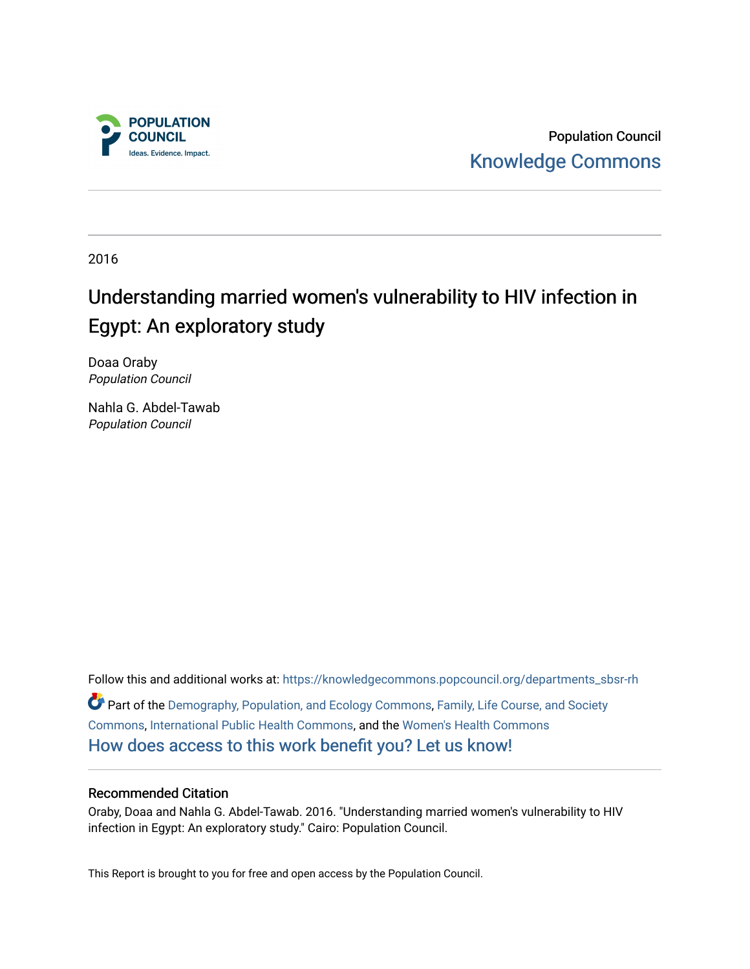

Population Council [Knowledge Commons](https://knowledgecommons.popcouncil.org/) 

2016

# Understanding married women's vulnerability to HIV infection in Egypt: An exploratory study

Doaa Oraby Population Council

Nahla G. Abdel-Tawab Population Council

Follow this and additional works at: [https://knowledgecommons.popcouncil.org/departments\\_sbsr-rh](https://knowledgecommons.popcouncil.org/departments_sbsr-rh?utm_source=knowledgecommons.popcouncil.org%2Fdepartments_sbsr-rh%2F712&utm_medium=PDF&utm_campaign=PDFCoverPages)  Part of the [Demography, Population, and Ecology Commons,](https://network.bepress.com/hgg/discipline/418?utm_source=knowledgecommons.popcouncil.org%2Fdepartments_sbsr-rh%2F712&utm_medium=PDF&utm_campaign=PDFCoverPages) [Family, Life Course, and Society](https://network.bepress.com/hgg/discipline/419?utm_source=knowledgecommons.popcouncil.org%2Fdepartments_sbsr-rh%2F712&utm_medium=PDF&utm_campaign=PDFCoverPages)  [Commons](https://network.bepress.com/hgg/discipline/419?utm_source=knowledgecommons.popcouncil.org%2Fdepartments_sbsr-rh%2F712&utm_medium=PDF&utm_campaign=PDFCoverPages), [International Public Health Commons,](https://network.bepress.com/hgg/discipline/746?utm_source=knowledgecommons.popcouncil.org%2Fdepartments_sbsr-rh%2F712&utm_medium=PDF&utm_campaign=PDFCoverPages) and the [Women's Health Commons](https://network.bepress.com/hgg/discipline/1241?utm_source=knowledgecommons.popcouncil.org%2Fdepartments_sbsr-rh%2F712&utm_medium=PDF&utm_campaign=PDFCoverPages)  [How does access to this work benefit you? Let us know!](https://pcouncil.wufoo.com/forms/open-access-to-population-council-research/)

#### Recommended Citation

Oraby, Doaa and Nahla G. Abdel-Tawab. 2016. "Understanding married women's vulnerability to HIV infection in Egypt: An exploratory study." Cairo: Population Council.

This Report is brought to you for free and open access by the Population Council.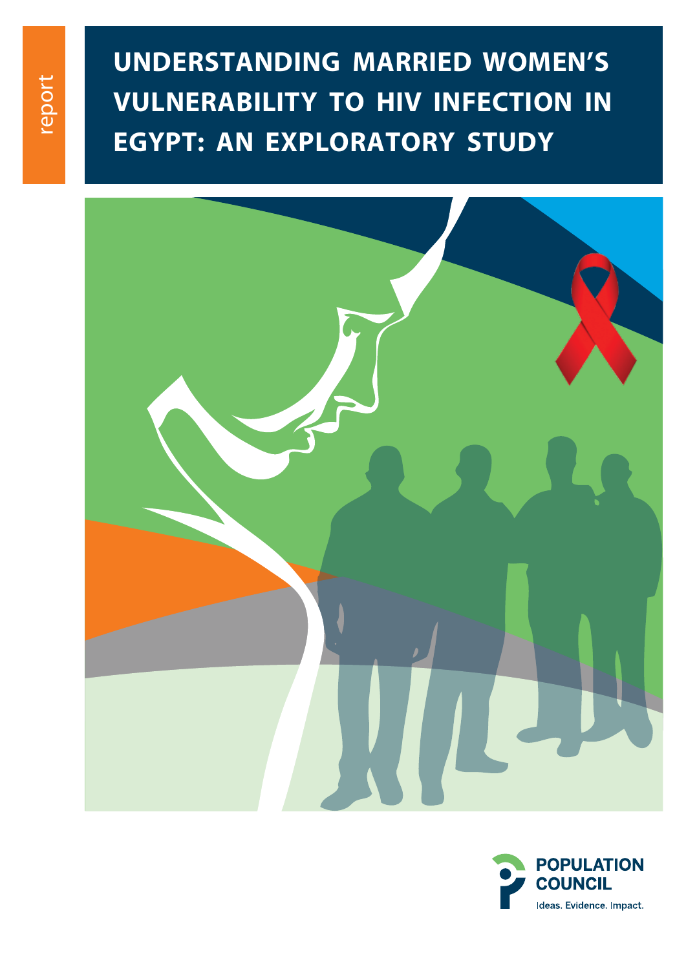# **Understanding Married Women's Vulnerability To Hiv Infection In Egypt: An Exploratory Study**



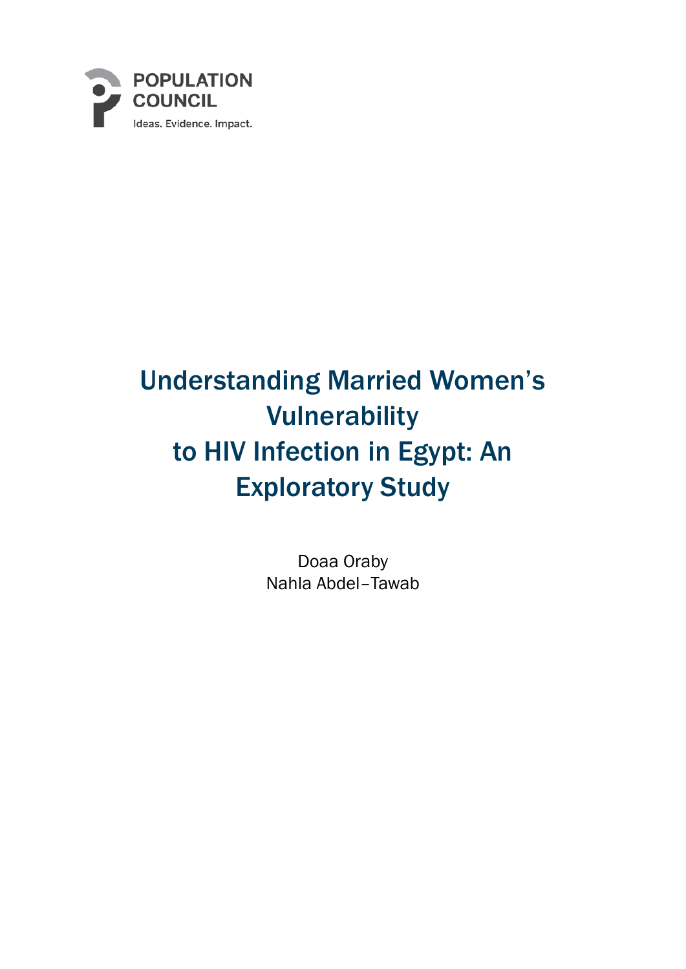

# Understanding Married Women's Vulnerability to HIV Infection in Egypt: An Exploratory Study

Doaa Oraby Nahla Abdel–Tawab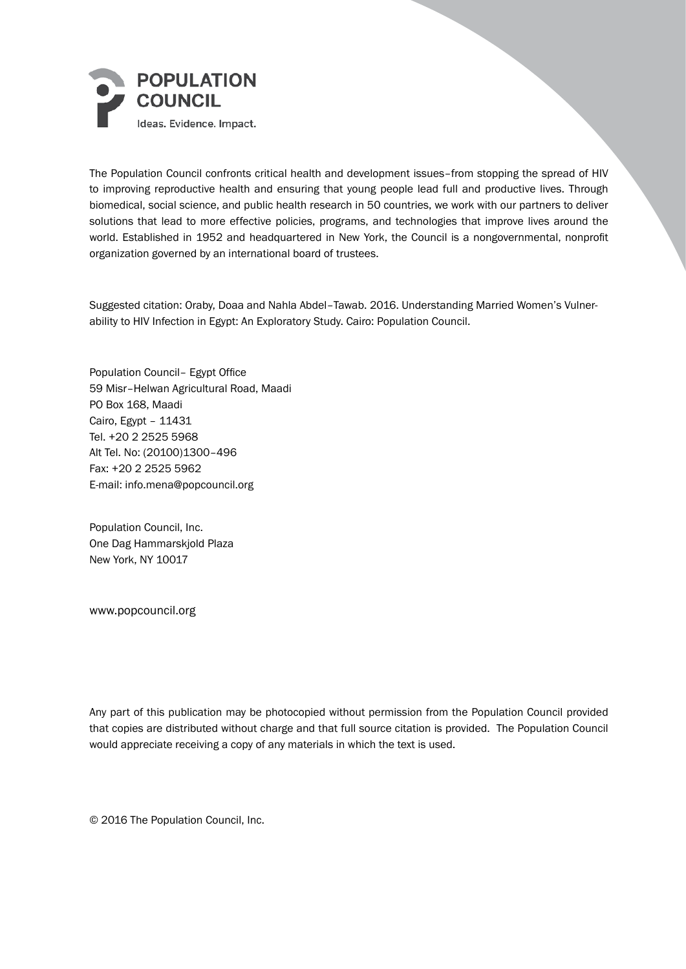

The Population Council confronts critical health and development issues–from stopping the spread of HIV to improving reproductive health and ensuring that young people lead full and productive lives. Through biomedical, social science, and public health research in 50 countries, we work with our partners to deliver solutions that lead to more effective policies, programs, and technologies that improve lives around the world. Established in 1952 and headquartered in New York, the Council is a nongovernmental, nonprofit organization governed by an international board of trustees.

Suggested citation: Oraby, Doaa and Nahla Abdel–Tawab. 2016. Understanding Married Women's Vulnerability to HIV Infection in Egypt: An Exploratory Study. Cairo: Population Council.

Population Council– Egypt Office 59 Misr–Helwan Agricultural Road, Maadi PO Box 168, Maadi Cairo, Egypt – 11431 Tel. +20 2 2525 5968 Alt Tel. No: (20100)1300–496 Fax: +20 2 2525 5962 E-mail: info.mena@popcouncil.org

Population Council, Inc. One Dag Hammarskjold Plaza New York, NY 10017

www.popcouncil.org

Any part of this publication may be photocopied without permission from the Population Council provided that copies are distributed without charge and that full source citation is provided. The Population Council would appreciate receiving a copy of any materials in which the text is used.

© 2016 The Population Council, Inc.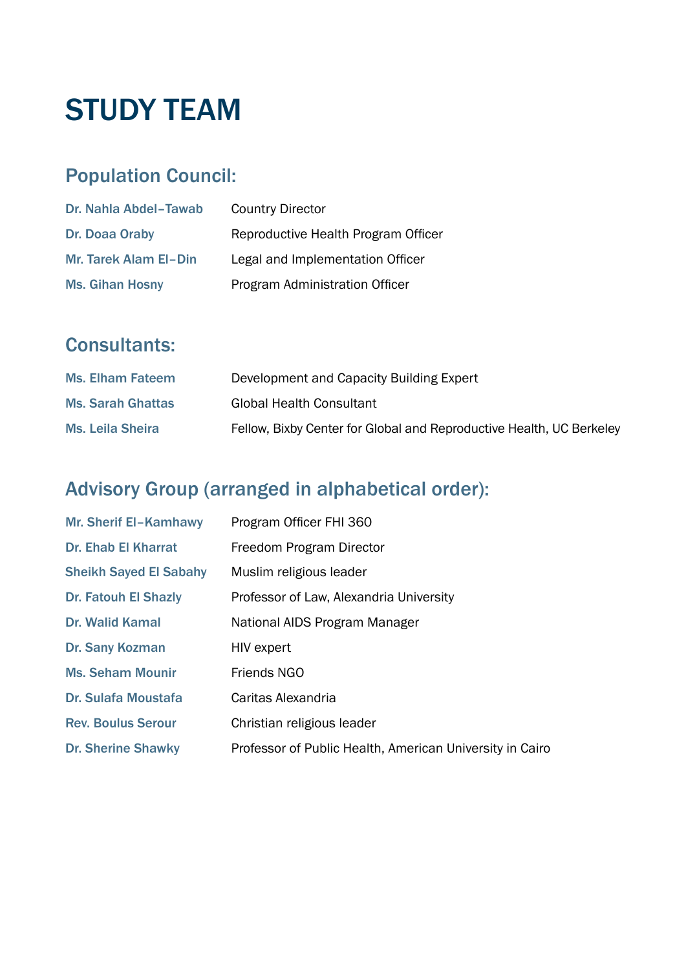# **STUDY TEAM**

# Population Council:

| Dr. Nahla Abdel-Tawab        | <b>Country Director</b>             |
|------------------------------|-------------------------------------|
| Dr. Doaa Oraby               | Reproductive Health Program Officer |
| <b>Mr. Tarek Alam El-Din</b> | Legal and Implementation Officer    |
| <b>Ms. Gihan Hosny</b>       | Program Administration Officer      |

# Consultants:

| <b>Ms. Elham Fateem</b>  | Development and Capacity Building Expert                             |
|--------------------------|----------------------------------------------------------------------|
| <b>Ms. Sarah Ghattas</b> | <b>Global Health Consultant</b>                                      |
| <b>Ms. Leila Sheira</b>  | Fellow, Bixby Center for Global and Reproductive Health, UC Berkeley |

## Advisory Group (arranged in alphabetical order):

| <b>Mr. Sherif El-Kamhawy</b>  | Program Officer FHI 360                                  |
|-------------------------------|----------------------------------------------------------|
| <b>Dr. Ehab El Kharrat</b>    | Freedom Program Director                                 |
| <b>Sheikh Sayed El Sabahy</b> | Muslim religious leader                                  |
| <b>Dr. Fatouh El Shazly</b>   | Professor of Law, Alexandria University                  |
| <b>Dr. Walid Kamal</b>        | National AIDS Program Manager                            |
| Dr. Sany Kozman               | HIV expert                                               |
| <b>Ms. Seham Mounir</b>       | Friends NGO                                              |
| <b>Dr. Sulafa Moustafa</b>    | Caritas Alexandria                                       |
| <b>Rev. Boulus Serour</b>     | Christian religious leader                               |
| <b>Dr. Sherine Shawky</b>     | Professor of Public Health, American University in Cairo |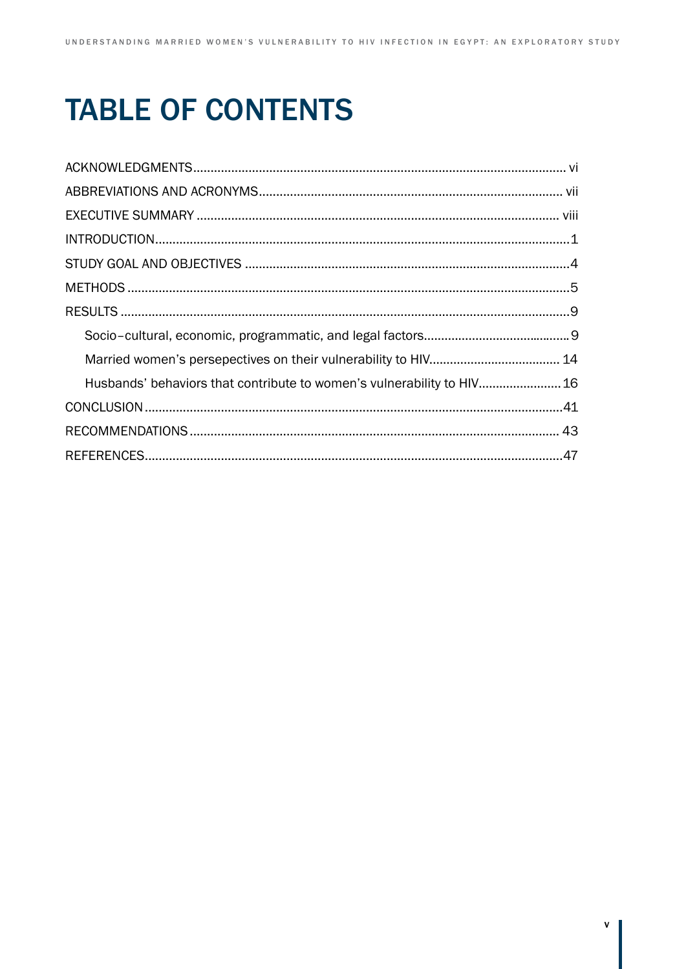# **TABLE OF CONTENTS**

| Husbands' behaviors that contribute to women's vulnerability to HIV 16 |  |
|------------------------------------------------------------------------|--|
|                                                                        |  |
|                                                                        |  |
|                                                                        |  |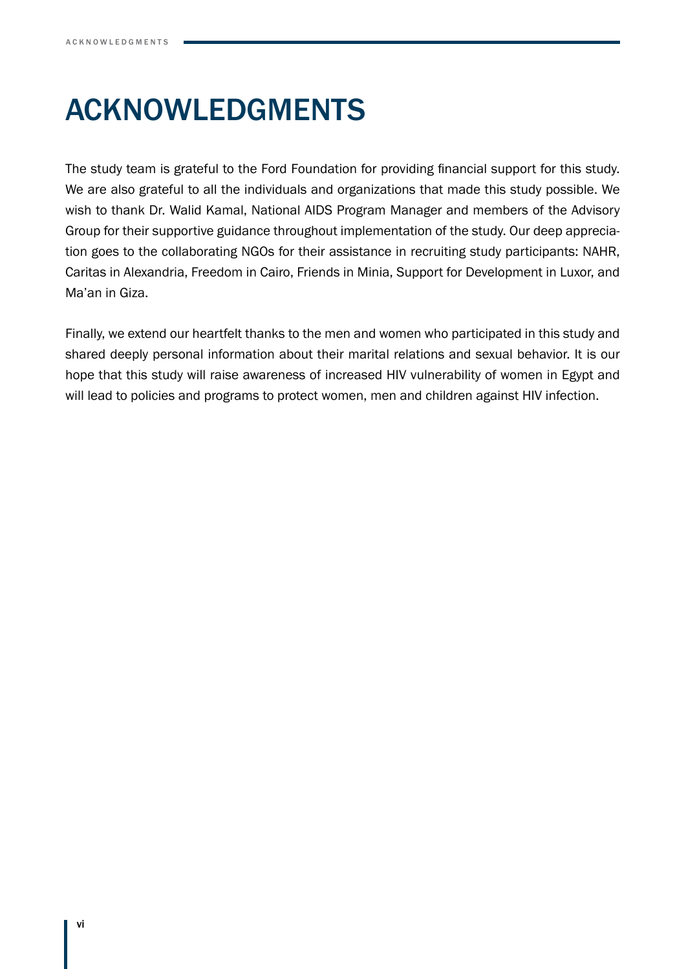# Acknowledgments

The study team is grateful to the Ford Foundation for providing financial support for this study. We are also grateful to all the individuals and organizations that made this study possible. We wish to thank Dr. Walid Kamal, National AIDS Program Manager and members of the Advisory Group for their supportive guidance throughout implementation of the study. Our deep appreciation goes to the collaborating NGOs for their assistance in recruiting study participants: NAHR, Caritas in Alexandria, Freedom in Cairo, Friends in Minia, Support for Development in Luxor, and Ma'an in Giza.

Finally, we extend our heartfelt thanks to the men and women who participated in this study and shared deeply personal information about their marital relations and sexual behavior. It is our hope that this study will raise awareness of increased HIV vulnerability of women in Egypt and will lead to policies and programs to protect women, men and children against HIV infection.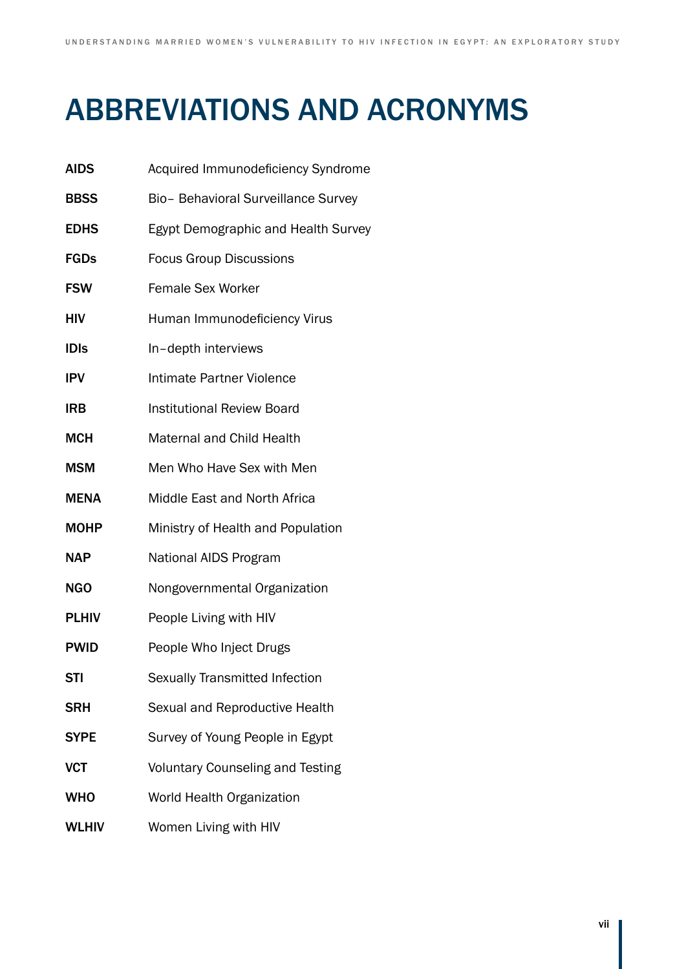# **ABBREVIATIONS AND ACRONYMS**

| <b>AIDS</b>  | Acquired Immunodeficiency Syndrome      |
|--------------|-----------------------------------------|
| <b>BBSS</b>  | Bio- Behavioral Surveillance Survey     |
| <b>EDHS</b>  | Egypt Demographic and Health Survey     |
| <b>FGDs</b>  | <b>Focus Group Discussions</b>          |
| <b>FSW</b>   | <b>Female Sex Worker</b>                |
| HIV          | Human Immunodeficiency Virus            |
| <b>IDIS</b>  | In-depth interviews                     |
| <b>IPV</b>   | Intimate Partner Violence               |
| <b>IRB</b>   | <b>Institutional Review Board</b>       |
| <b>MCH</b>   | <b>Maternal and Child Health</b>        |
| <b>MSM</b>   | Men Who Have Sex with Men               |
| <b>MENA</b>  | Middle East and North Africa            |
| <b>MOHP</b>  | Ministry of Health and Population       |
| <b>NAP</b>   | National AIDS Program                   |
| <b>NGO</b>   | Nongovernmental Organization            |
| <b>PLHIV</b> | People Living with HIV                  |
| <b>PWID</b>  | People Who Inject Drugs                 |
| <b>STI</b>   | Sexually Transmitted Infection          |
| <b>SRH</b>   | Sexual and Reproductive Health          |
| <b>SYPE</b>  | Survey of Young People in Egypt         |
| <b>VCT</b>   | <b>Voluntary Counseling and Testing</b> |
| <b>WHO</b>   | World Health Organization               |
| <b>WLHIV</b> | Women Living with HIV                   |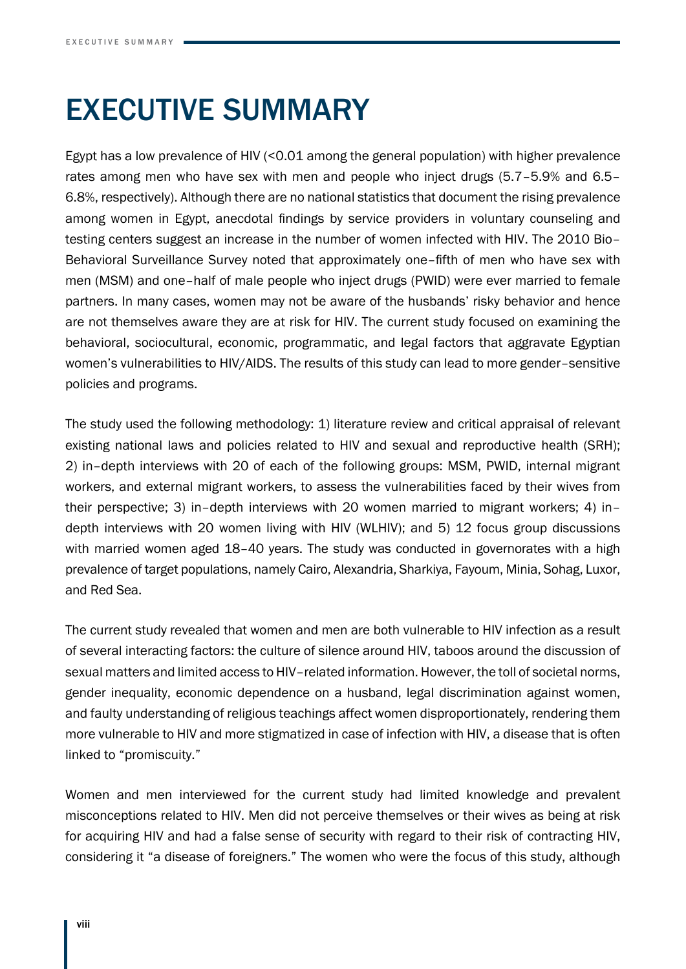# Executive Summary

Egypt has a low prevalence of HIV (<0.01 among the general population) with higher prevalence rates among men who have sex with men and people who inject drugs (5.7–5.9% and 6.5– 6.8%, respectively). Although there are no national statistics that document the rising prevalence among women in Egypt, anecdotal findings by service providers in voluntary counseling and testing centers suggest an increase in the number of women infected with HIV. The 2010 Bio– Behavioral Surveillance Survey noted that approximately one–fifth of men who have sex with men (MSM) and one–half of male people who inject drugs (PWID) were ever married to female partners. In many cases, women may not be aware of the husbands' risky behavior and hence are not themselves aware they are at risk for HIV. The current study focused on examining the behavioral, sociocultural, economic, programmatic, and legal factors that aggravate Egyptian women's vulnerabilities to HIV/AIDS. The results of this study can lead to more gender–sensitive policies and programs.

The study used the following methodology: 1) literature review and critical appraisal of relevant existing national laws and policies related to HIV and sexual and reproductive health (SRH); 2) in–depth interviews with 20 of each of the following groups: MSM, PWID, internal migrant workers, and external migrant workers, to assess the vulnerabilities faced by their wives from their perspective; 3) in–depth interviews with 20 women married to migrant workers; 4) in– depth interviews with 20 women living with HIV (WLHIV); and 5) 12 focus group discussions with married women aged 18-40 years. The study was conducted in governorates with a high prevalence of target populations, namely Cairo, Alexandria, Sharkiya, Fayoum, Minia, Sohag, Luxor, and Red Sea.

The current study revealed that women and men are both vulnerable to HIV infection as a result of several interacting factors: the culture of silence around HIV, taboos around the discussion of sexual matters and limited access to HIV–related information. However, the toll of societal norms, gender inequality, economic dependence on a husband, legal discrimination against women, and faulty understanding of religious teachings affect women disproportionately, rendering them more vulnerable to HIV and more stigmatized in case of infection with HIV, a disease that is often linked to "promiscuity."

Women and men interviewed for the current study had limited knowledge and prevalent misconceptions related to HIV. Men did not perceive themselves or their wives as being at risk for acquiring HIV and had a false sense of security with regard to their risk of contracting HIV, considering it "a disease of foreigners." The women who were the focus of this study, although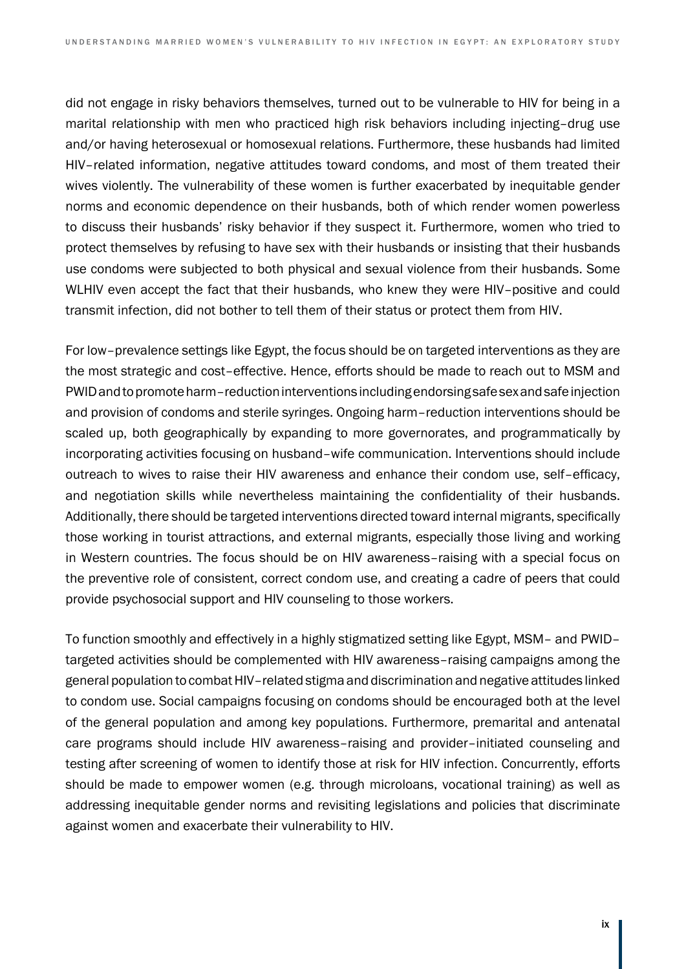did not engage in risky behaviors themselves, turned out to be vulnerable to HIV for being in a marital relationship with men who practiced high risk behaviors including injecting–drug use and/or having heterosexual or homosexual relations. Furthermore, these husbands had limited HIV–related information, negative attitudes toward condoms, and most of them treated their wives violently. The vulnerability of these women is further exacerbated by inequitable gender norms and economic dependence on their husbands, both of which render women powerless to discuss their husbands' risky behavior if they suspect it. Furthermore, women who tried to protect themselves by refusing to have sex with their husbands or insisting that their husbands use condoms were subjected to both physical and sexual violence from their husbands. Some WLHIV even accept the fact that their husbands, who knew they were HIV–positive and could transmit infection, did not bother to tell them of their status or protect them from HIV.

For low–prevalence settings like Egypt, the focus should be on targeted interventions as they are the most strategic and cost–effective. Hence, efforts should be made to reach out to MSM and PWID and to promote harm–reduction interventions including endorsing safe sex and safe injection and provision of condoms and sterile syringes. Ongoing harm–reduction interventions should be scaled up, both geographically by expanding to more governorates, and programmatically by incorporating activities focusing on husband–wife communication. Interventions should include outreach to wives to raise their HIV awareness and enhance their condom use, self–efficacy, and negotiation skills while nevertheless maintaining the confidentiality of their husbands. Additionally, there should be targeted interventions directed toward internal migrants, specifically those working in tourist attractions, and external migrants, especially those living and working in Western countries. The focus should be on HIV awareness–raising with a special focus on the preventive role of consistent, correct condom use, and creating a cadre of peers that could provide psychosocial support and HIV counseling to those workers.

To function smoothly and effectively in a highly stigmatized setting like Egypt, MSM– and PWID– targeted activities should be complemented with HIV awareness–raising campaigns among the general population to combat HIV–related stigma and discrimination and negative attitudes linked to condom use. Social campaigns focusing on condoms should be encouraged both at the level of the general population and among key populations. Furthermore, premarital and antenatal care programs should include HIV awareness–raising and provider–initiated counseling and testing after screening of women to identify those at risk for HIV infection. Concurrently, efforts should be made to empower women (e.g. through microloans, vocational training) as well as addressing inequitable gender norms and revisiting legislations and policies that discriminate against women and exacerbate their vulnerability to HIV.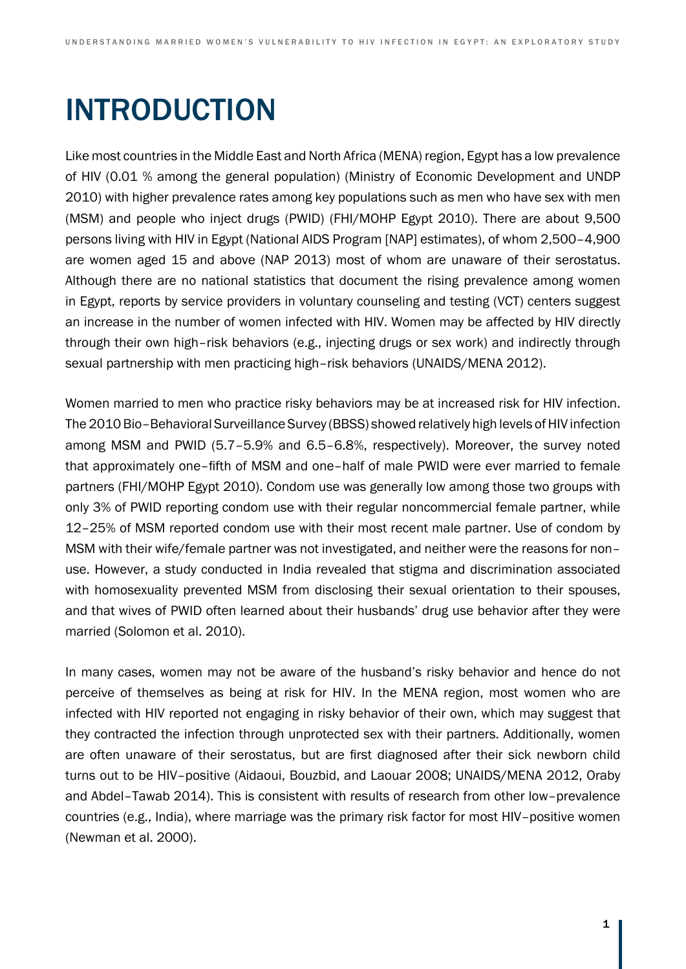# **INTRODUCTION**

Like most countries in the Middle East and North Africa (MENA) region, Egypt has a low prevalence of HIV (0.01 % among the general population) (Ministry of Economic Development and UNDP 2010) with higher prevalence rates among key populations such as men who have sex with men (MSM) and people who inject drugs (PWID) (FHI/MOHP Egypt 2010). There are about 9,500 persons living with HIV in Egypt (National AIDS Program [NAP] estimates), of whom 2,500–4,900 are women aged 15 and above (NAP 2013) most of whom are unaware of their serostatus. Although there are no national statistics that document the rising prevalence among women in Egypt, reports by service providers in voluntary counseling and testing (VCT) centers suggest an increase in the number of women infected with HIV. Women may be affected by HIV directly through their own high–risk behaviors (e.g., injecting drugs or sex work) and indirectly through sexual partnership with men practicing high–risk behaviors (UNAIDS/MENA 2012).

Women married to men who practice risky behaviors may be at increased risk for HIV infection. The 2010 Bio–Behavioral Surveillance Survey (BBSS) showed relatively high levels of HIV infection among MSM and PWID (5.7–5.9% and 6.5–6.8%, respectively). Moreover, the survey noted that approximately one–fifth of MSM and one–half of male PWID were ever married to female partners (FHI/MOHP Egypt 2010). Condom use was generally low among those two groups with only 3% of PWID reporting condom use with their regular noncommercial female partner, while 12–25% of MSM reported condom use with their most recent male partner. Use of condom by MSM with their wife/female partner was not investigated, and neither were the reasons for non– use. However, a study conducted in India revealed that stigma and discrimination associated with homosexuality prevented MSM from disclosing their sexual orientation to their spouses, and that wives of PWID often learned about their husbands' drug use behavior after they were married (Solomon et al. 2010).

In many cases, women may not be aware of the husband's risky behavior and hence do not perceive of themselves as being at risk for HIV. In the MENA region, most women who are infected with HIV reported not engaging in risky behavior of their own, which may suggest that they contracted the infection through unprotected sex with their partners. Additionally, women are often unaware of their serostatus, but are first diagnosed after their sick newborn child turns out to be HIV–positive (Aidaoui, Bouzbid, and Laouar 2008; UNAIDS/MENA 2012, Oraby and Abdel–Tawab 2014). This is consistent with results of research from other low–prevalence countries (e.g., India), where marriage was the primary risk factor for most HIV–positive women (Newman et al. 2000).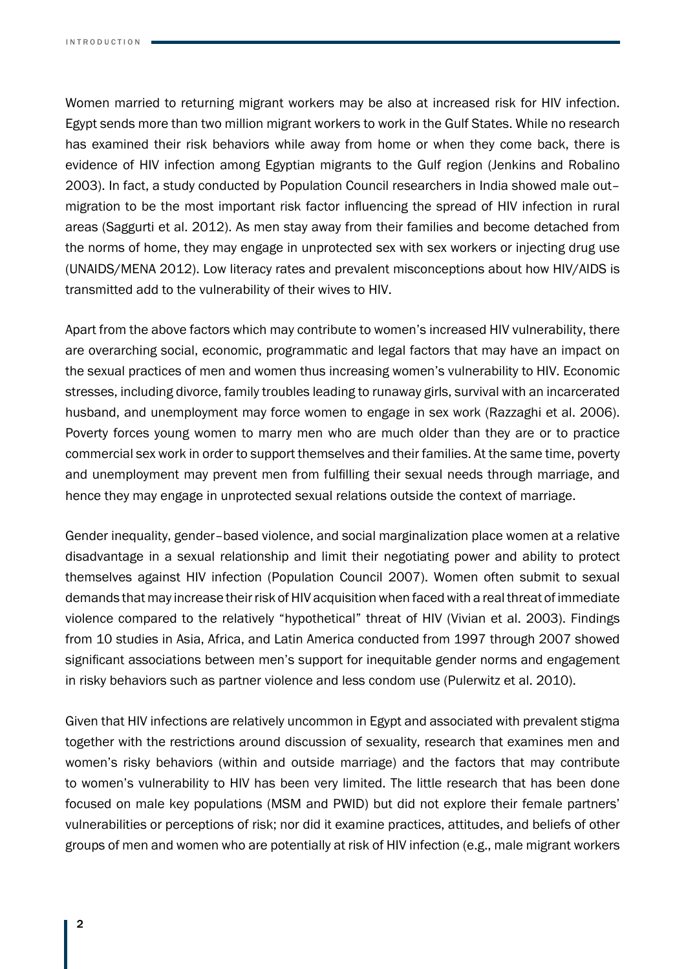Women married to returning migrant workers may be also at increased risk for HIV infection. Egypt sends more than two million migrant workers to work in the Gulf States. While no research has examined their risk behaviors while away from home or when they come back, there is evidence of HIV infection among Egyptian migrants to the Gulf region (Jenkins and Robalino 2003). In fact, a study conducted by Population Council researchers in India showed male out– migration to be the most important risk factor influencing the spread of HIV infection in rural areas (Saggurti et al. 2012). As men stay away from their families and become detached from the norms of home, they may engage in unprotected sex with sex workers or injecting drug use (UNAIDS/MENA 2012). Low literacy rates and prevalent misconceptions about how HIV/AIDS is transmitted add to the vulnerability of their wives to HIV.

Apart from the above factors which may contribute to women's increased HIV vulnerability, there are overarching social, economic, programmatic and legal factors that may have an impact on the sexual practices of men and women thus increasing women's vulnerability to HIV. Economic stresses, including divorce, family troubles leading to runaway girls, survival with an incarcerated husband, and unemployment may force women to engage in sex work (Razzaghi et al. 2006). Poverty forces young women to marry men who are much older than they are or to practice commercial sex work in order to support themselves and their families. At the same time, poverty and unemployment may prevent men from fulfilling their sexual needs through marriage, and hence they may engage in unprotected sexual relations outside the context of marriage.

Gender inequality, gender–based violence, and social marginalization place women at a relative disadvantage in a sexual relationship and limit their negotiating power and ability to protect themselves against HIV infection (Population Council 2007). Women often submit to sexual demands that may increase their risk of HIV acquisition when faced with a real threat of immediate violence compared to the relatively "hypothetical" threat of HIV (Vivian et al. 2003). Findings from 10 studies in Asia, Africa, and Latin America conducted from 1997 through 2007 showed significant associations between men's support for inequitable gender norms and engagement in risky behaviors such as partner violence and less condom use (Pulerwitz et al. 2010).

Given that HIV infections are relatively uncommon in Egypt and associated with prevalent stigma together with the restrictions around discussion of sexuality, research that examines men and women's risky behaviors (within and outside marriage) and the factors that may contribute to women's vulnerability to HIV has been very limited. The little research that has been done focused on male key populations (MSM and PWID) but did not explore their female partners' vulnerabilities or perceptions of risk; nor did it examine practices, attitudes, and beliefs of other groups of men and women who are potentially at risk of HIV infection (e.g., male migrant workers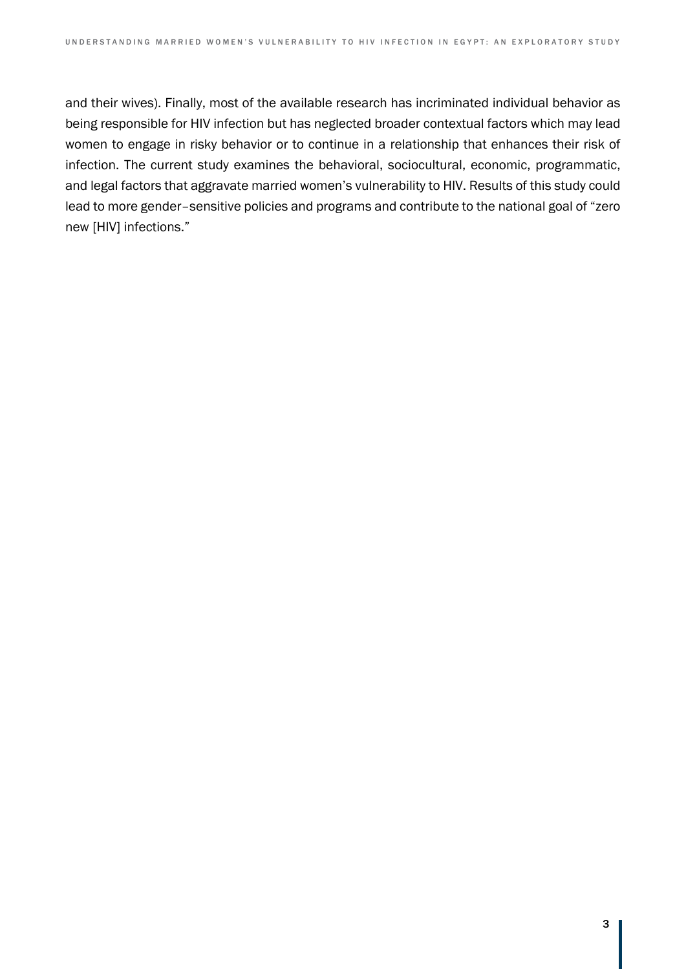and their wives). Finally, most of the available research has incriminated individual behavior as being responsible for HIV infection but has neglected broader contextual factors which may lead women to engage in risky behavior or to continue in a relationship that enhances their risk of infection. The current study examines the behavioral, sociocultural, economic, programmatic, and legal factors that aggravate married women's vulnerability to HIV. Results of this study could lead to more gender–sensitive policies and programs and contribute to the national goal of "zero new [HIV] infections."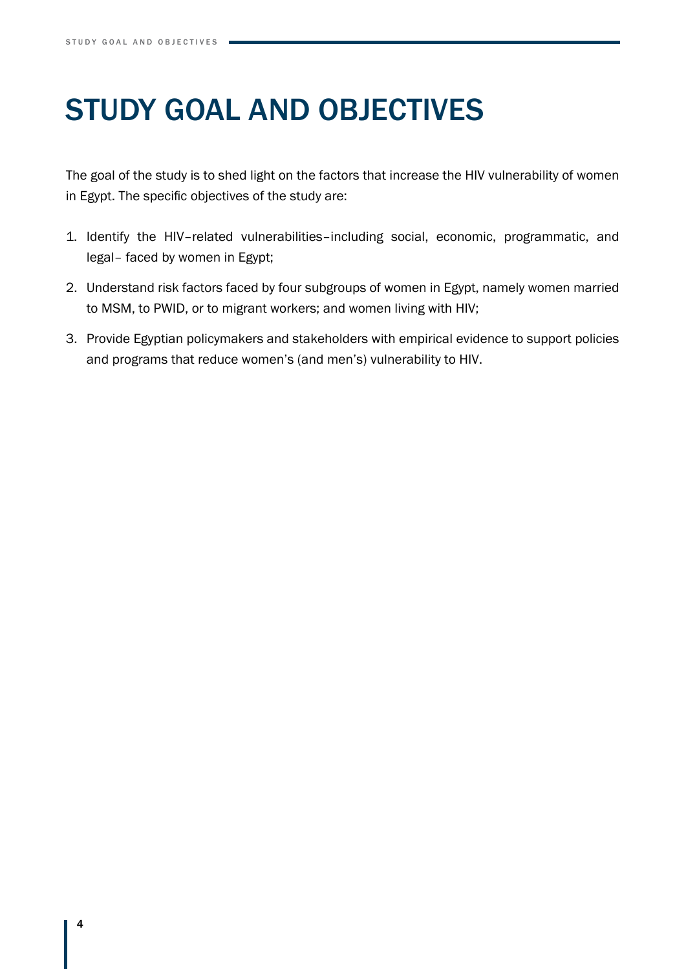# Study Goal and Objectives

The goal of the study is to shed light on the factors that increase the HIV vulnerability of women in Egypt. The specific objectives of the study are:

- 1. Identify the HIV–related vulnerabilities–including social, economic, programmatic, and legal– faced by women in Egypt;
- 2. Understand risk factors faced by four subgroups of women in Egypt, namely women married to MSM, to PWID, or to migrant workers; and women living with HIV;
- 3. Provide Egyptian policymakers and stakeholders with empirical evidence to support policies and programs that reduce women's (and men's) vulnerability to HIV.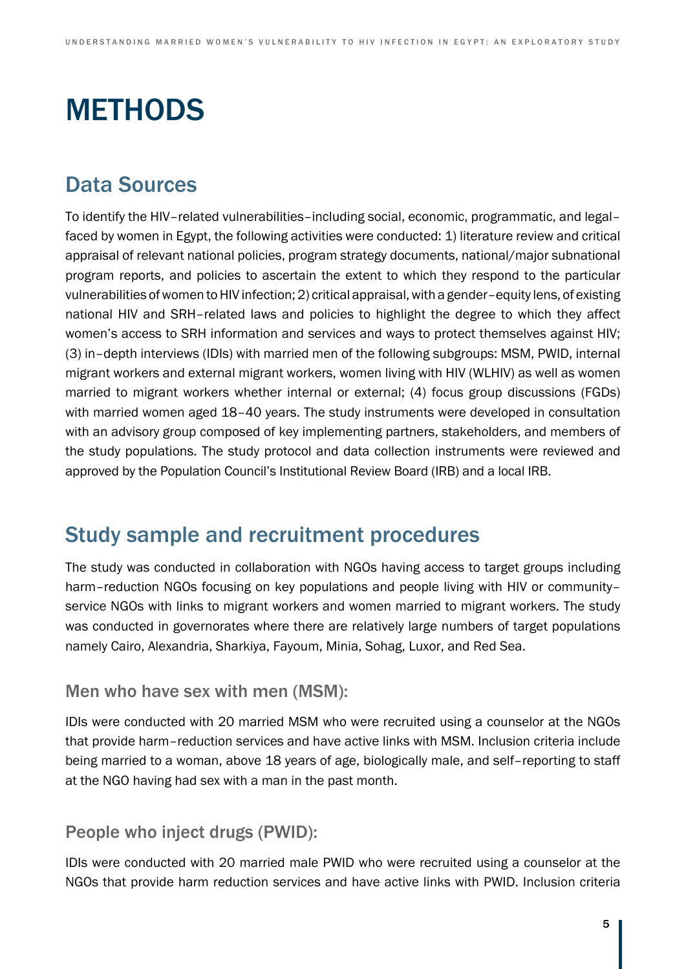# **METHODS**

# Data Sources

To identify the HIV–related vulnerabilities–including social, economic, programmatic, and legal– faced by women in Egypt, the following activities were conducted: 1) literature review and critical appraisal of relevant national policies, program strategy documents, national/major subnational program reports, and policies to ascertain the extent to which they respond to the particular vulnerabilities of women to HIV infection; 2) critical appraisal, with a gender–equity lens, of existing national HIV and SRH–related laws and policies to highlight the degree to which they affect women's access to SRH information and services and ways to protect themselves against HIV; (3) in–depth interviews (IDIs) with married men of the following subgroups: MSM, PWID, internal migrant workers and external migrant workers, women living with HIV (WLHIV) as well as women married to migrant workers whether internal or external; (4) focus group discussions (FGDs) with married women aged 18–40 years. The study instruments were developed in consultation with an advisory group composed of key implementing partners, stakeholders, and members of the study populations. The study protocol and data collection instruments were reviewed and approved by the Population Council's Institutional Review Board (IRB) and a local IRB.

## Study sample and recruitment procedures

The study was conducted in collaboration with NGOs having access to target groups including harm–reduction NGOs focusing on key populations and people living with HIV or community– service NGOs with links to migrant workers and women married to migrant workers. The study was conducted in governorates where there are relatively large numbers of target populations namely Cairo, Alexandria, Sharkiya, Fayoum, Minia, Sohag, Luxor, and Red Sea.

### Men who have sex with men (MSM):

IDIs were conducted with 20 married MSM who were recruited using a counselor at the NGOs that provide harm–reduction services and have active links with MSM. Inclusion criteria include being married to a woman, above 18 years of age, biologically male, and self–reporting to staff at the NGO having had sex with a man in the past month.

## People who inject drugs (PWID):

IDIs were conducted with 20 married male PWID who were recruited using a counselor at the NGOs that provide harm reduction services and have active links with PWID. Inclusion criteria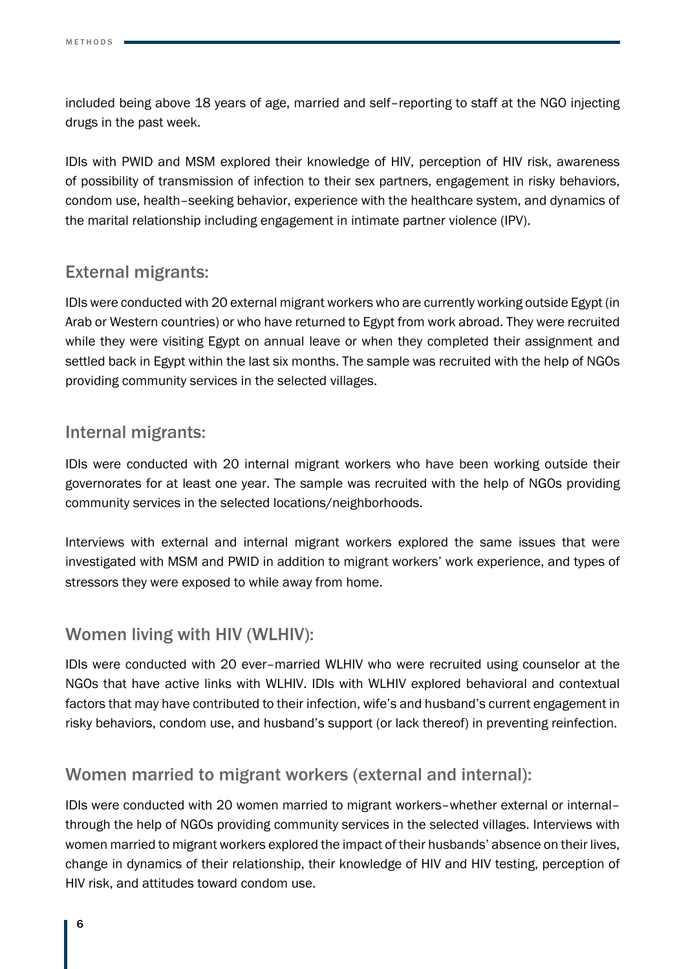included being above 18 years of age, married and self–reporting to staff at the NGO injecting drugs in the past week.

IDIs with PWID and MSM explored their knowledge of HIV, perception of HIV risk, awareness of possibility of transmission of infection to their sex partners, engagement in risky behaviors, condom use, health–seeking behavior, experience with the healthcare system, and dynamics of the marital relationship including engagement in intimate partner violence (IPV).

## External migrants:

IDIs were conducted with 20 external migrant workers who are currently working outside Egypt (in Arab or Western countries) or who have returned to Egypt from work abroad. They were recruited while they were visiting Egypt on annual leave or when they completed their assignment and settled back in Egypt within the last six months. The sample was recruited with the help of NGOs providing community services in the selected villages.

### Internal migrants:

IDIs were conducted with 20 internal migrant workers who have been working outside their governorates for at least one year. The sample was recruited with the help of NGOs providing community services in the selected locations/neighborhoods.

Interviews with external and internal migrant workers explored the same issues that were investigated with MSM and PWID in addition to migrant workers' work experience, and types of stressors they were exposed to while away from home.

## Women living with HIV (WLHIV):

IDIs were conducted with 20 ever–married WLHIV who were recruited using counselor at the NGOs that have active links with WLHIV. IDIs with WLHIV explored behavioral and contextual factors that may have contributed to their infection, wife's and husband's current engagement in risky behaviors, condom use, and husband's support (or lack thereof) in preventing reinfection.

## Women married to migrant workers (external and internal):

IDIs were conducted with 20 women married to migrant workers–whether external or internal– through the help of NGOs providing community services in the selected villages. Interviews with women married to migrant workers explored the impact of their husbands' absence on their lives, change in dynamics of their relationship, their knowledge of HIV and HIV testing, perception of HIV risk, and attitudes toward condom use.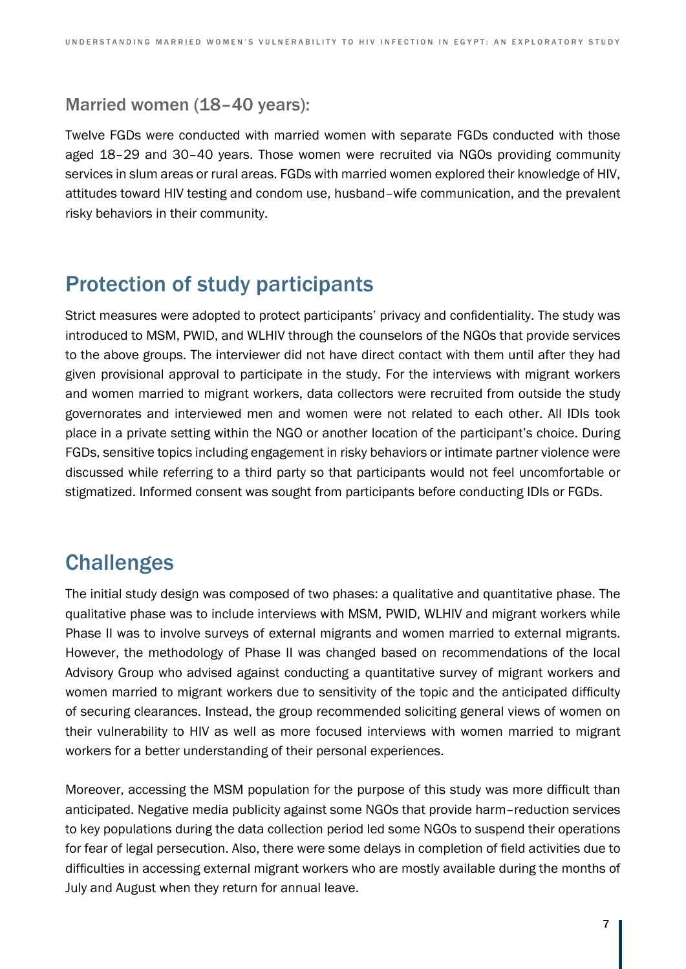### Married women (18–40 years):

Twelve FGDs were conducted with married women with separate FGDs conducted with those aged 18–29 and 30–40 years. Those women were recruited via NGOs providing community services in slum areas or rural areas. FGDs with married women explored their knowledge of HIV, attitudes toward HIV testing and condom use, husband–wife communication, and the prevalent risky behaviors in their community.

# Protection of study participants

Strict measures were adopted to protect participants' privacy and confidentiality. The study was introduced to MSM, PWID, and WLHIV through the counselors of the NGOs that provide services to the above groups. The interviewer did not have direct contact with them until after they had given provisional approval to participate in the study. For the interviews with migrant workers and women married to migrant workers, data collectors were recruited from outside the study governorates and interviewed men and women were not related to each other. All IDIs took place in a private setting within the NGO or another location of the participant's choice. During FGDs, sensitive topics including engagement in risky behaviors or intimate partner violence were discussed while referring to a third party so that participants would not feel uncomfortable or stigmatized. Informed consent was sought from participants before conducting IDIs or FGDs.

## **Challenges**

The initial study design was composed of two phases: a qualitative and quantitative phase. The qualitative phase was to include interviews with MSM, PWID, WLHIV and migrant workers while Phase II was to involve surveys of external migrants and women married to external migrants. However, the methodology of Phase II was changed based on recommendations of the local Advisory Group who advised against conducting a quantitative survey of migrant workers and women married to migrant workers due to sensitivity of the topic and the anticipated difficulty of securing clearances. Instead, the group recommended soliciting general views of women on their vulnerability to HIV as well as more focused interviews with women married to migrant workers for a better understanding of their personal experiences.

Moreover, accessing the MSM population for the purpose of this study was more difficult than anticipated. Negative media publicity against some NGOs that provide harm–reduction services to key populations during the data collection period led some NGOs to suspend their operations for fear of legal persecution. Also, there were some delays in completion of field activities due to difficulties in accessing external migrant workers who are mostly available during the months of July and August when they return for annual leave.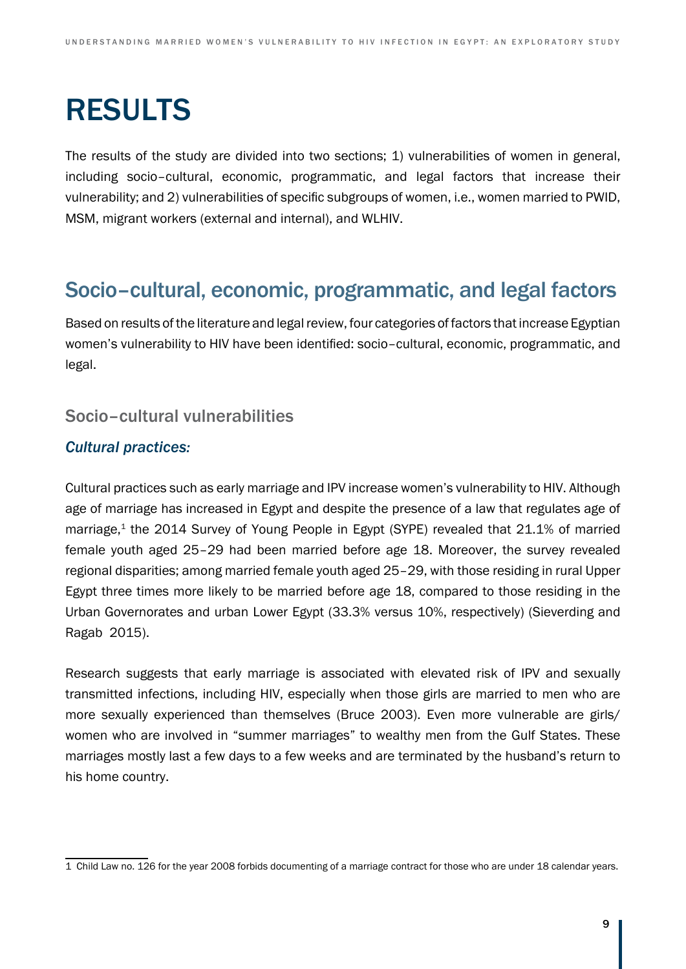# RESULTS

The results of the study are divided into two sections; 1) vulnerabilities of women in general, including socio–cultural, economic, programmatic, and legal factors that increase their vulnerability; and 2) vulnerabilities of specific subgroups of women, i.e., women married to PWID, MSM, migrant workers (external and internal), and WLHIV.

## Socio–cultural, economic, programmatic, and legal factors

Based on results of the literature and legal review, four categories of factors that increase Egyptian women's vulnerability to HIV have been identified: socio–cultural, economic, programmatic, and legal.

### Socio–cultural vulnerabilities

#### *Cultural practices:*

Cultural practices such as early marriage and IPV increase women's vulnerability to HIV. Although age of marriage has increased in Egypt and despite the presence of a law that regulates age of marriage,<sup>1</sup> the 2014 Survey of Young People in Egypt (SYPE) revealed that 21.1% of married female youth aged 25–29 had been married before age 18. Moreover, the survey revealed regional disparities; among married female youth aged 25–29, with those residing in rural Upper Egypt three times more likely to be married before age 18, compared to those residing in the Urban Governorates and urban Lower Egypt (33.3% versus 10%, respectively) (Sieverding and Ragab 2015).

Research suggests that early marriage is associated with elevated risk of IPV and sexually transmitted infections, including HIV, especially when those girls are married to men who are more sexually experienced than themselves (Bruce 2003). Even more vulnerable are girls/ women who are involved in "summer marriages" to wealthy men from the Gulf States. These marriages mostly last a few days to a few weeks and are terminated by the husband's return to his home country.

<sup>1</sup> Child Law no. 126 for the year 2008 forbids documenting of a marriage contract for those who are under 18 calendar years.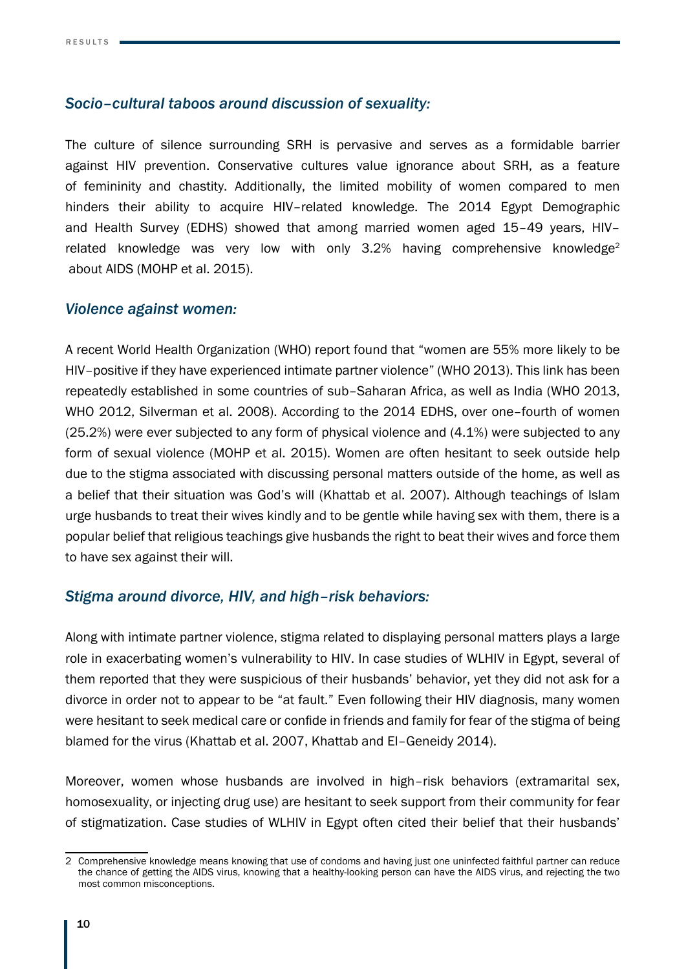#### *Socio–cultural taboos around discussion of sexuality:*

The culture of silence surrounding SRH is pervasive and serves as a formidable barrier against HIV prevention. Conservative cultures value ignorance about SRH, as a feature of femininity and chastity. Additionally, the limited mobility of women compared to men hinders their ability to acquire HIV–related knowledge. The 2014 Egypt Demographic and Health Survey (EDHS) showed that among married women aged 15–49 years, HIV– related knowledge was very low with only  $3.2\%$  having comprehensive knowledge<sup>2</sup> about AIDS (MOHP et al. 2015).

#### *Violence against women:*

A recent World Health Organization (WHO) report found that "women are 55% more likely to be HIV–positive if they have experienced intimate partner violence" (WHO 2013). This link has been repeatedly established in some countries of sub–Saharan Africa, as well as India (WHO 2013, WHO 2012, Silverman et al. 2008). According to the 2014 EDHS, over one–fourth of women (25.2%) were ever subjected to any form of physical violence and (4.1%) were subjected to any form of sexual violence (MOHP et al. 2015). Women are often hesitant to seek outside help due to the stigma associated with discussing personal matters outside of the home, as well as a belief that their situation was God's will (Khattab et al. 2007). Although teachings of Islam urge husbands to treat their wives kindly and to be gentle while having sex with them, there is a popular belief that religious teachings give husbands the right to beat their wives and force them to have sex against their will.

#### *Stigma around divorce, HIV, and high–risk behaviors:*

Along with intimate partner violence, stigma related to displaying personal matters plays a large role in exacerbating women's vulnerability to HIV. In case studies of WLHIV in Egypt, several of them reported that they were suspicious of their husbands' behavior, yet they did not ask for a divorce in order not to appear to be "at fault." Even following their HIV diagnosis, many women were hesitant to seek medical care or confide in friends and family for fear of the stigma of being blamed for the virus (Khattab et al. 2007, Khattab and El–Geneidy 2014).

Moreover, women whose husbands are involved in high–risk behaviors (extramarital sex, homosexuality, or injecting drug use) are hesitant to seek support from their community for fear of stigmatization. Case studies of WLHIV in Egypt often cited their belief that their husbands'

<sup>2</sup> Comprehensive knowledge means knowing that use of condoms and having just one uninfected faithful partner can reduce the chance of getting the AIDS virus, knowing that a healthy-looking person can have the AIDS virus, and rejecting the two most common misconceptions.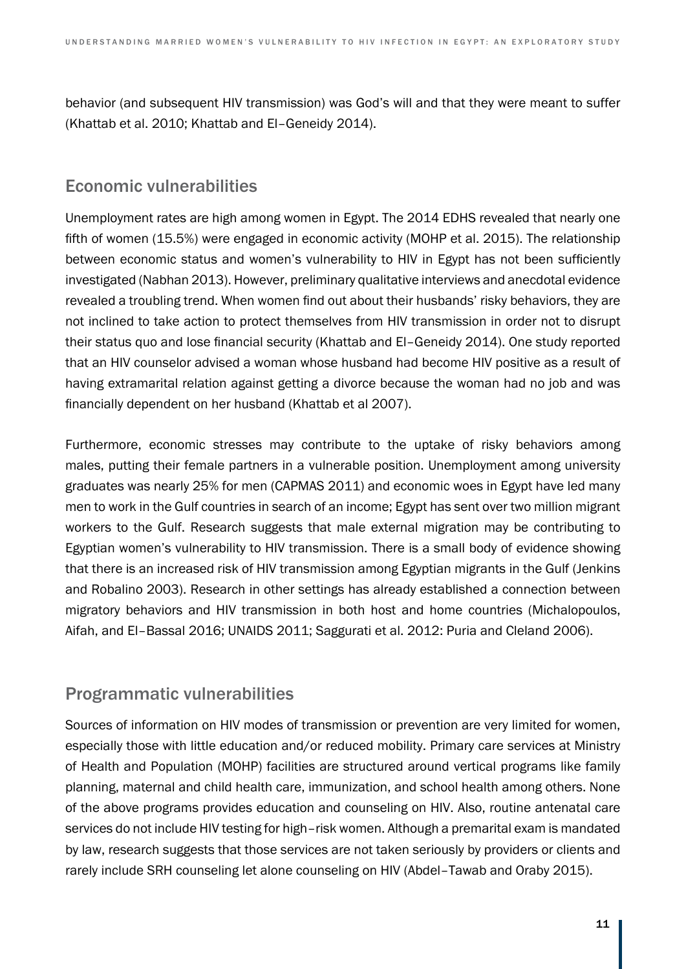behavior (and subsequent HIV transmission) was God's will and that they were meant to suffer (Khattab et al. 2010; Khattab and El–Geneidy 2014).

### Economic vulnerabilities

Unemployment rates are high among women in Egypt. The 2014 EDHS revealed that nearly one fifth of women (15.5%) were engaged in economic activity (MOHP et al. 2015). The relationship between economic status and women's vulnerability to HIV in Egypt has not been sufficiently investigated (Nabhan 2013). However, preliminary qualitative interviews and anecdotal evidence revealed a troubling trend. When women find out about their husbands' risky behaviors, they are not inclined to take action to protect themselves from HIV transmission in order not to disrupt their status quo and lose financial security (Khattab and El–Geneidy 2014). One study reported that an HIV counselor advised a woman whose husband had become HIV positive as a result of having extramarital relation against getting a divorce because the woman had no job and was financially dependent on her husband (Khattab et al 2007).

Furthermore, economic stresses may contribute to the uptake of risky behaviors among males, putting their female partners in a vulnerable position. Unemployment among university graduates was nearly 25% for men (CAPMAS 2011) and economic woes in Egypt have led many men to work in the Gulf countries in search of an income; Egypt has sent over two million migrant workers to the Gulf. Research suggests that male external migration may be contributing to Egyptian women's vulnerability to HIV transmission. There is a small body of evidence showing that there is an increased risk of HIV transmission among Egyptian migrants in the Gulf (Jenkins and Robalino 2003). Research in other settings has already established a connection between migratory behaviors and HIV transmission in both host and home countries (Michalopoulos, Aifah, and El–Bassal 2016; UNAIDS 2011; Saggurati et al. 2012: Puria and Cleland 2006).

## Programmatic vulnerabilities

Sources of information on HIV modes of transmission or prevention are very limited for women, especially those with little education and/or reduced mobility. Primary care services at Ministry of Health and Population (MOHP) facilities are structured around vertical programs like family planning, maternal and child health care, immunization, and school health among others. None of the above programs provides education and counseling on HIV. Also, routine antenatal care services do not include HIV testing for high–risk women. Although a premarital exam is mandated by law, research suggests that those services are not taken seriously by providers or clients and rarely include SRH counseling let alone counseling on HIV (Abdel–Tawab and Oraby 2015).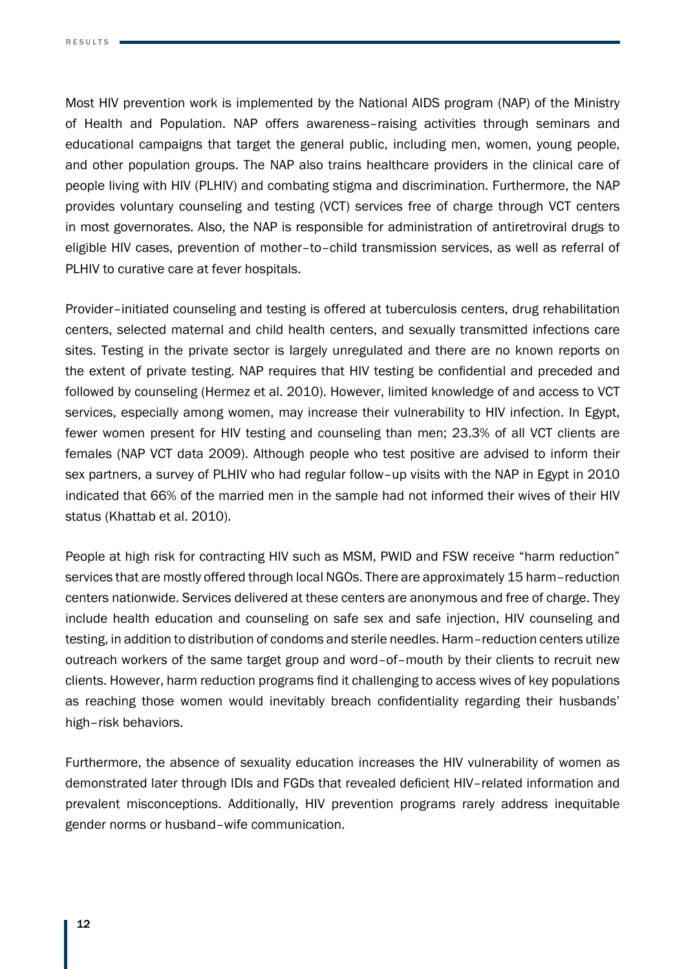Most HIV prevention work is implemented by the National AIDS program (NAP) of the Ministry of Health and Population. NAP offers awareness–raising activities through seminars and educational campaigns that target the general public, including men, women, young people, and other population groups. The NAP also trains healthcare providers in the clinical care of people living with HIV (PLHIV) and combating stigma and discrimination. Furthermore, the NAP provides voluntary counseling and testing (VCT) services free of charge through VCT centers in most governorates. Also, the NAP is responsible for administration of antiretroviral drugs to eligible HIV cases, prevention of mother–to–child transmission services, as well as referral of PLHIV to curative care at fever hospitals.

Provider–initiated counseling and testing is offered at tuberculosis centers, drug rehabilitation centers, selected maternal and child health centers, and sexually transmitted infections care sites. Testing in the private sector is largely unregulated and there are no known reports on the extent of private testing. NAP requires that HIV testing be confidential and preceded and followed by counseling (Hermez et al. 2010). However, limited knowledge of and access to VCT services, especially among women, may increase their vulnerability to HIV infection. In Egypt, fewer women present for HIV testing and counseling than men; 23.3% of all VCT clients are females (NAP VCT data 2009). Although people who test positive are advised to inform their sex partners, a survey of PLHIV who had regular follow–up visits with the NAP in Egypt in 2010 indicated that 66% of the married men in the sample had not informed their wives of their HIV status (Khattab et al. 2010).

People at high risk for contracting HIV such as MSM, PWID and FSW receive "harm reduction" services that are mostly offered through local NGOs. There are approximately 15 harm–reduction centers nationwide. Services delivered at these centers are anonymous and free of charge. They include health education and counseling on safe sex and safe injection, HIV counseling and testing, in addition to distribution of condoms and sterile needles. Harm–reduction centers utilize outreach workers of the same target group and word–of–mouth by their clients to recruit new clients. However, harm reduction programs find it challenging to access wives of key populations as reaching those women would inevitably breach confidentiality regarding their husbands' high–risk behaviors.

Furthermore, the absence of sexuality education increases the HIV vulnerability of women as demonstrated later through IDIs and FGDs that revealed deficient HIV–related information and prevalent misconceptions. Additionally, HIV prevention programs rarely address inequitable gender norms or husband–wife communication.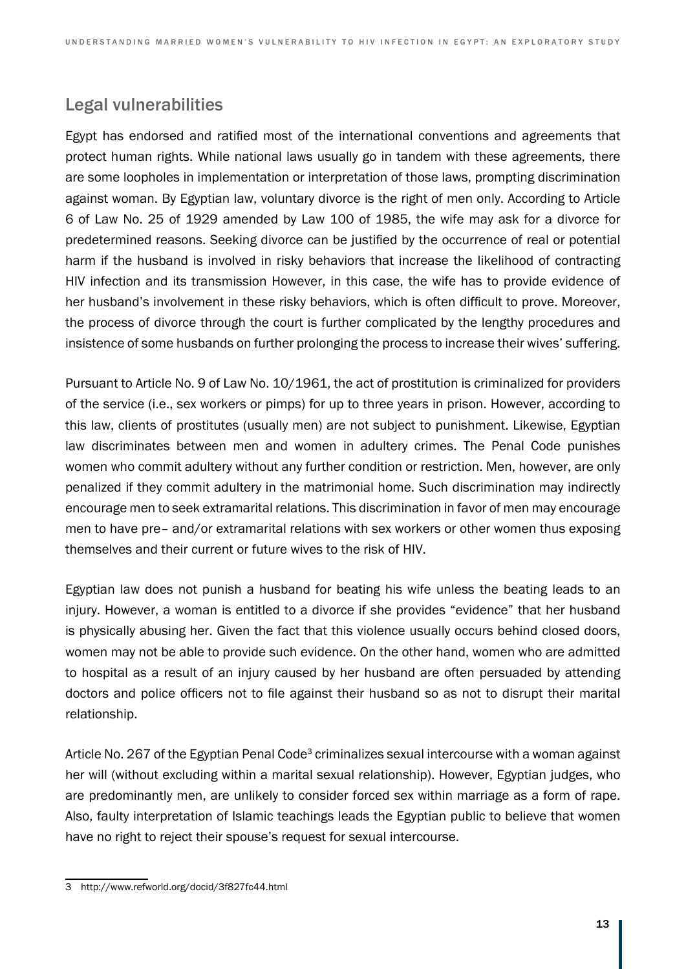## Legal vulnerabilities

Egypt has endorsed and ratified most of the international conventions and agreements that protect human rights. While national laws usually go in tandem with these agreements, there are some loopholes in implementation or interpretation of those laws, prompting discrimination against woman. By Egyptian law, voluntary divorce is the right of men only. According to Article 6 of Law No. 25 of 1929 amended by Law 100 of 1985, the wife may ask for a divorce for predetermined reasons. Seeking divorce can be justified by the occurrence of real or potential harm if the husband is involved in risky behaviors that increase the likelihood of contracting HIV infection and its transmission However, in this case, the wife has to provide evidence of her husband's involvement in these risky behaviors, which is often difficult to prove. Moreover, the process of divorce through the court is further complicated by the lengthy procedures and insistence of some husbands on further prolonging the process to increase their wives' suffering.

Pursuant to Article No. 9 of Law No. 10/1961, the act of prostitution is criminalized for providers of the service (i.e., sex workers or pimps) for up to three years in prison. However, according to this law, clients of prostitutes (usually men) are not subject to punishment. Likewise, Egyptian law discriminates between men and women in adultery crimes. The Penal Code punishes women who commit adultery without any further condition or restriction. Men, however, are only penalized if they commit adultery in the matrimonial home. Such discrimination may indirectly encourage men to seek extramarital relations. This discrimination in favor of men may encourage men to have pre– and/or extramarital relations with sex workers or other women thus exposing themselves and their current or future wives to the risk of HIV.

Egyptian law does not punish a husband for beating his wife unless the beating leads to an injury. However, a woman is entitled to a divorce if she provides "evidence" that her husband is physically abusing her. Given the fact that this violence usually occurs behind closed doors, women may not be able to provide such evidence. On the other hand, women who are admitted to hospital as a result of an injury caused by her husband are often persuaded by attending doctors and police officers not to file against their husband so as not to disrupt their marital relationship.

Article No. 267 of the Egyptian Penal Code<sup>3</sup> criminalizes sexual intercourse with a woman against her will (without excluding within a marital sexual relationship). However, Egyptian judges, who are predominantly men, are unlikely to consider forced sex within marriage as a form of rape. Also, faulty interpretation of Islamic teachings leads the Egyptian public to believe that women have no right to reject their spouse's request for sexual intercourse.

<sup>3</sup> http://www.refworld.org/docid/3f827fc44.html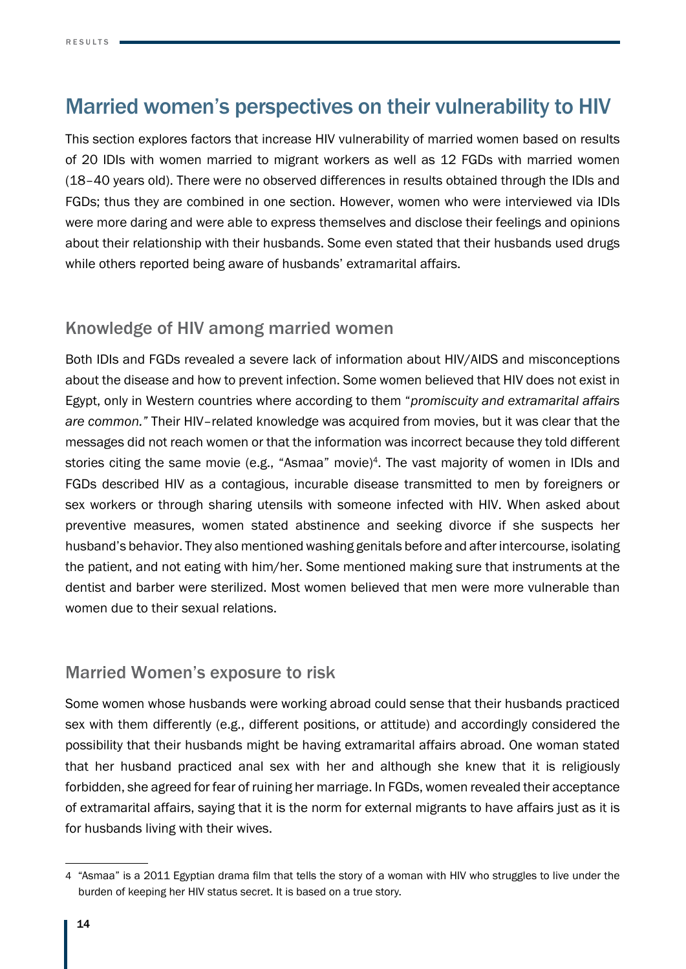# Married women's perspectives on their vulnerability to HIV

This section explores factors that increase HIV vulnerability of married women based on results of 20 IDIs with women married to migrant workers as well as 12 FGDs with married women (18–40 years old). There were no observed differences in results obtained through the IDIs and FGDs; thus they are combined in one section. However, women who were interviewed via IDIs were more daring and were able to express themselves and disclose their feelings and opinions about their relationship with their husbands. Some even stated that their husbands used drugs while others reported being aware of husbands' extramarital affairs.

## Knowledge of HIV among married women

Both IDIs and FGDs revealed a severe lack of information about HIV/AIDS and misconceptions about the disease and how to prevent infection. Some women believed that HIV does not exist in Egypt, only in Western countries where according to them "*promiscuity and extramarital affairs are common."* Their HIV–related knowledge was acquired from movies, but it was clear that the messages did not reach women or that the information was incorrect because they told different stories citing the same movie (e.g., "Asmaa" movie)<sup>4</sup>. The vast majority of women in IDIs and FGDs described HIV as a contagious, incurable disease transmitted to men by foreigners or sex workers or through sharing utensils with someone infected with HIV. When asked about preventive measures, women stated abstinence and seeking divorce if she suspects her husband's behavior. They also mentioned washing genitals before and after intercourse, isolating the patient, and not eating with him/her. Some mentioned making sure that instruments at the dentist and barber were sterilized. Most women believed that men were more vulnerable than women due to their sexual relations.

### Married Women's exposure to risk

Some women whose husbands were working abroad could sense that their husbands practiced sex with them differently (e.g., different positions, or attitude) and accordingly considered the possibility that their husbands might be having extramarital affairs abroad. One woman stated that her husband practiced anal sex with her and although she knew that it is religiously forbidden, she agreed for fear of ruining her marriage. In FGDs, women revealed their acceptance of extramarital affairs, saying that it is the norm for external migrants to have affairs just as it is for husbands living with their wives.

<sup>4</sup> "Asmaa" is a 2011 Egyptian drama film that tells the story of a woman with HIV who struggles to live under the burden of keeping her HIV status secret. It is based on a true story.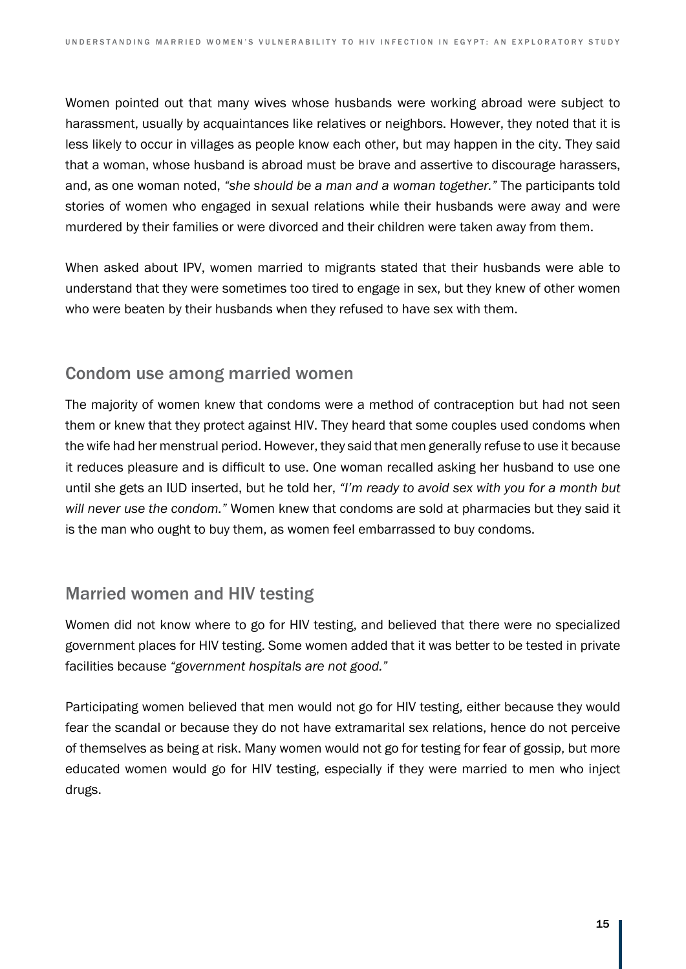Women pointed out that many wives whose husbands were working abroad were subject to harassment, usually by acquaintances like relatives or neighbors. However, they noted that it is less likely to occur in villages as people know each other, but may happen in the city. They said that a woman, whose husband is abroad must be brave and assertive to discourage harassers, and, as one woman noted, *"she should be a man and a woman together."* The participants told stories of women who engaged in sexual relations while their husbands were away and were murdered by their families or were divorced and their children were taken away from them.

When asked about IPV, women married to migrants stated that their husbands were able to understand that they were sometimes too tired to engage in sex, but they knew of other women who were beaten by their husbands when they refused to have sex with them.

### Condom use among married women

The majority of women knew that condoms were a method of contraception but had not seen them or knew that they protect against HIV. They heard that some couples used condoms when the wife had her menstrual period. However, they said that men generally refuse to use it because it reduces pleasure and is difficult to use. One woman recalled asking her husband to use one until she gets an IUD inserted, but he told her, *"I'm ready to avoid sex with you for a month but will never use the condom."* Women knew that condoms are sold at pharmacies but they said it is the man who ought to buy them, as women feel embarrassed to buy condoms.

## Married women and HIV testing

Women did not know where to go for HIV testing, and believed that there were no specialized government places for HIV testing. Some women added that it was better to be tested in private facilities because *"government hospitals are not good."*

Participating women believed that men would not go for HIV testing, either because they would fear the scandal or because they do not have extramarital sex relations, hence do not perceive of themselves as being at risk. Many women would not go for testing for fear of gossip, but more educated women would go for HIV testing, especially if they were married to men who inject drugs.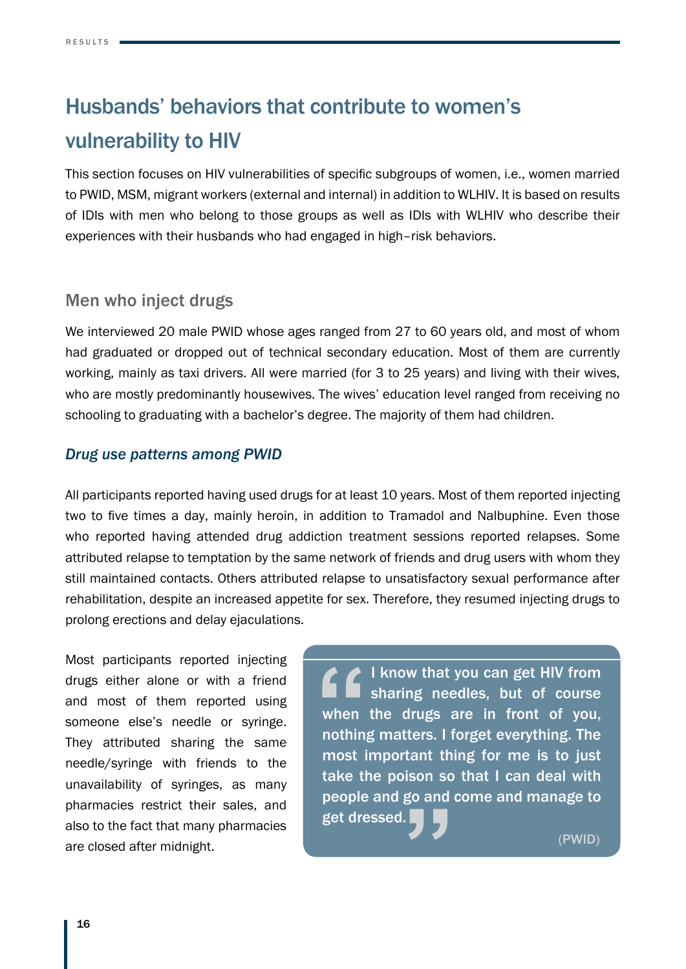# Husbands' behaviors that contribute to women's vulnerability to HIV

This section focuses on HIV vulnerabilities of specific subgroups of women, i.e., women married to PWID, MSM, migrant workers (external and internal) in addition to WLHIV. It is based on results of IDIs with men who belong to those groups as well as IDIs with WLHIV who describe their experiences with their husbands who had engaged in high–risk behaviors.

### Men who inject drugs

We interviewed 20 male PWID whose ages ranged from 27 to 60 years old, and most of whom had graduated or dropped out of technical secondary education. Most of them are currently working, mainly as taxi drivers. All were married (for 3 to 25 years) and living with their wives, who are mostly predominantly housewives. The wives' education level ranged from receiving no schooling to graduating with a bachelor's degree. The majority of them had children.

#### *Drug use patterns among PWID*

All participants reported having used drugs for at least 10 years. Most of them reported injecting two to five times a day, mainly heroin, in addition to Tramadol and Nalbuphine. Even those who reported having attended drug addiction treatment sessions reported relapses. Some attributed relapse to temptation by the same network of friends and drug users with whom they still maintained contacts. Others attributed relapse to unsatisfactory sexual performance after rehabilitation, despite an increased appetite for sex. Therefore, they resumed injecting drugs to prolong erections and delay ejaculations.

Most participants reported injecting drugs either alone or with a friend and most of them reported using someone else's needle or syringe. They attributed sharing the same needle/syringe with friends to the unavailability of syringes, as many pharmacies restrict their sales, and also to the fact that many pharmacies are closed after midnight.

I know that you can get HIV from sharing needles, but of course when the drugs are in front of you, nothing matters. I forget everything. The most important thing for me is to just take the poison so that I can deal with people and go and come and manage to get dressed.

(PWID)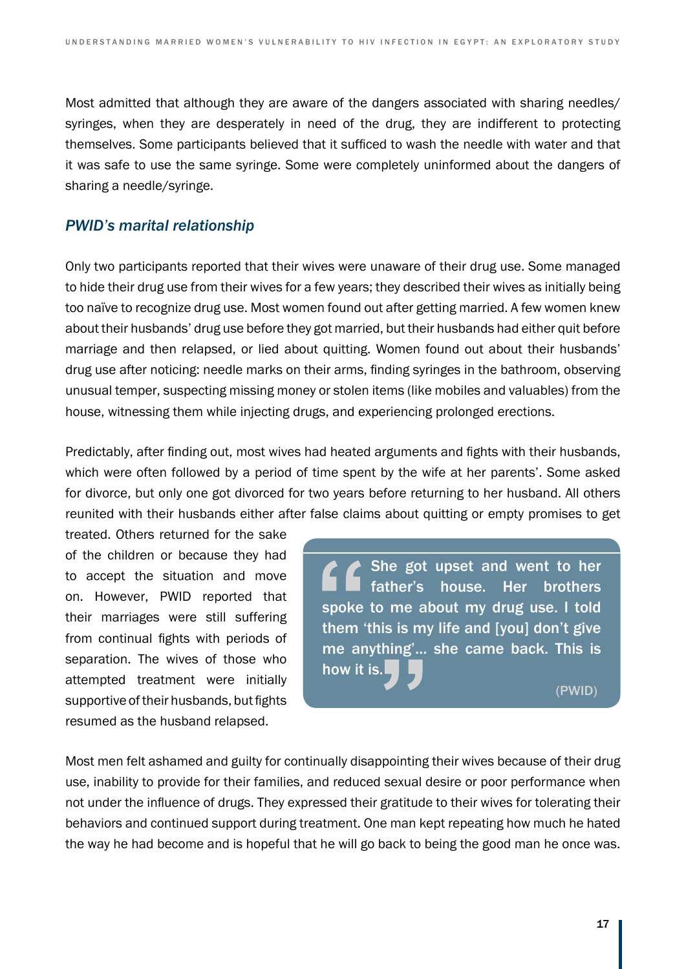Most admitted that although they are aware of the dangers associated with sharing needles/ syringes, when they are desperately in need of the drug, they are indifferent to protecting themselves. Some participants believed that it sufficed to wash the needle with water and that it was safe to use the same syringe. Some were completely uninformed about the dangers of sharing a needle/syringe.

#### *PWID's marital relationship*

Only two participants reported that their wives were unaware of their drug use. Some managed to hide their drug use from their wives for a few years; they described their wives as initially being too naïve to recognize drug use. Most women found out after getting married. A few women knew about their husbands' drug use before they got married, but their husbands had either quit before marriage and then relapsed, or lied about quitting. Women found out about their husbands' drug use after noticing: needle marks on their arms, finding syringes in the bathroom, observing unusual temper, suspecting missing money or stolen items (like mobiles and valuables) from the house, witnessing them while injecting drugs, and experiencing prolonged erections.

Predictably, after finding out, most wives had heated arguments and fights with their husbands, which were often followed by a period of time spent by the wife at her parents'. Some asked for divorce, but only one got divorced for two years before returning to her husband. All others reunited with their husbands either after false claims about quitting or empty promises to get

treated. Others returned for the sake of the children or because they had to accept the situation and move on. However, PWID reported that their marriages were still suffering from continual fights with periods of separation. The wives of those who attempted treatment were initially supportive of their husbands, but fights resumed as the husband relapsed.

She got upset and went to her father's house. Her brothers spoke to me about my drug use. I told them 'this is my life and [you] don't give me anything'… she came back. This is how it is.

(PWID)

Most men felt ashamed and guilty for continually disappointing their wives because of their drug use, inability to provide for their families, and reduced sexual desire or poor performance when not under the influence of drugs. They expressed their gratitude to their wives for tolerating their behaviors and continued support during treatment. One man kept repeating how much he hated the way he had become and is hopeful that he will go back to being the good man he once was.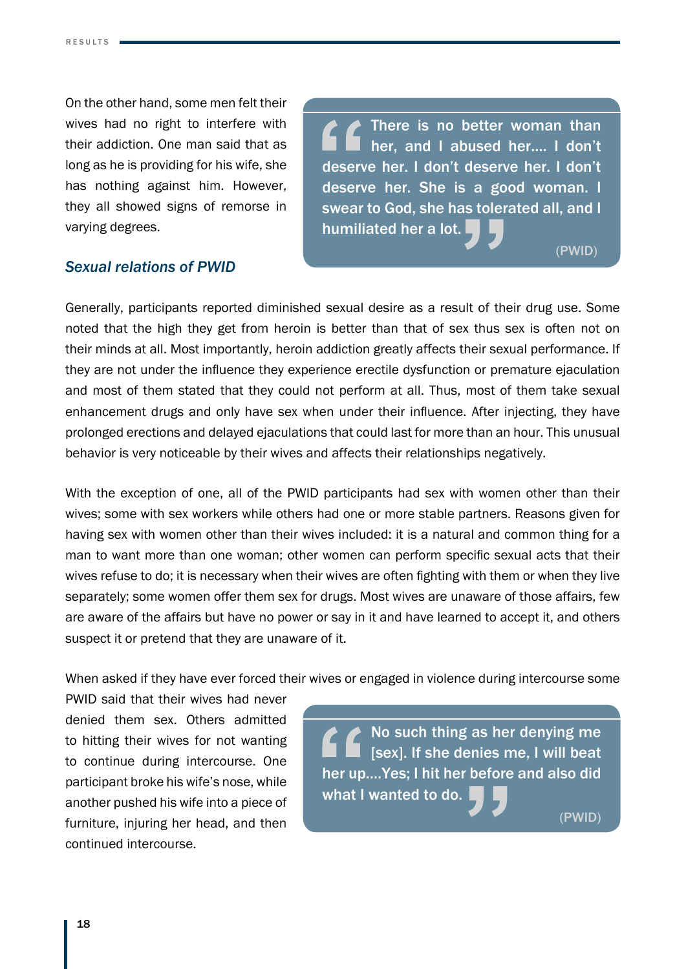On the other hand, some men felt their wives had no right to interfere with their addiction. One man said that as long as he is providing for his wife, she has nothing against him. However, they all showed signs of remorse in varying degrees.

There is no better woman than her, and I abused her.… I don't deserve her. I don't deserve her. I don't deserve her. She is a good woman. I swear to God, she has tolerated all, and I humiliated her a lot.

(PWID)

(PWID)

#### *Sexual relations of PWID*

Generally, participants reported diminished sexual desire as a result of their drug use. Some noted that the high they get from heroin is better than that of sex thus sex is often not on their minds at all. Most importantly, heroin addiction greatly affects their sexual performance. If they are not under the influence they experience erectile dysfunction or premature ejaculation and most of them stated that they could not perform at all. Thus, most of them take sexual enhancement drugs and only have sex when under their influence. After injecting, they have prolonged erections and delayed ejaculations that could last for more than an hour. This unusual behavior is very noticeable by their wives and affects their relationships negatively.

With the exception of one, all of the PWID participants had sex with women other than their wives; some with sex workers while others had one or more stable partners. Reasons given for having sex with women other than their wives included: it is a natural and common thing for a man to want more than one woman; other women can perform specific sexual acts that their wives refuse to do; it is necessary when their wives are often fighting with them or when they live separately; some women offer them sex for drugs. Most wives are unaware of those affairs, few are aware of the affairs but have no power or say in it and have learned to accept it, and others suspect it or pretend that they are unaware of it.

When asked if they have ever forced their wives or engaged in violence during intercourse some

PWID said that their wives had never denied them sex. Others admitted to hitting their wives for not wanting to continue during intercourse. One participant broke his wife's nose, while another pushed his wife into a piece of furniture, injuring her head, and then continued intercourse.

No such thing as her denying me [sex]. If she denies me, I will beat her up.…Yes; I hit her before and also did what I wanted to do.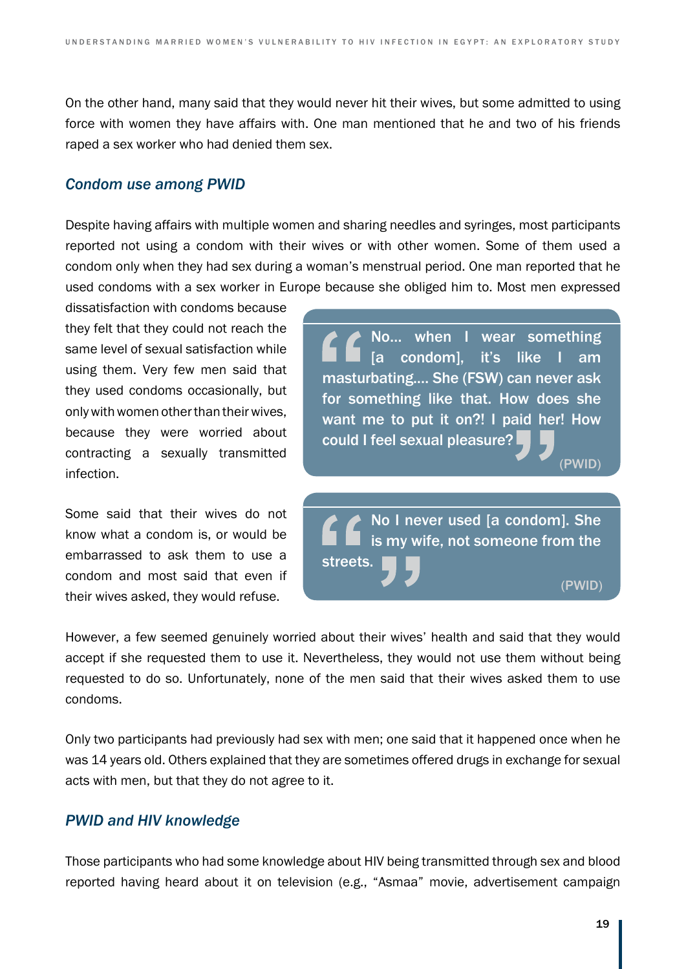On the other hand, many said that they would never hit their wives, but some admitted to using force with women they have affairs with. One man mentioned that he and two of his friends raped a sex worker who had denied them sex.

#### *Condom use among PWID*

Despite having affairs with multiple women and sharing needles and syringes, most participants reported not using a condom with their wives or with other women. Some of them used a condom only when they had sex during a woman's menstrual period. One man reported that he used condoms with a sex worker in Europe because she obliged him to. Most men expressed

dissatisfaction with condoms because they felt that they could not reach the same level of sexual satisfaction while using them. Very few men said that they used condoms occasionally, but only with women other than their wives, because they were worried about contracting a sexually transmitted infection.

Some said that their wives do not know what a condom is, or would be embarrassed to ask them to use a condom and most said that even if their wives asked, they would refuse.

No… when I wear something [a condom], it's like I am masturbating.… She (FSW) can never ask for something like that. How does she want me to put it on?! I paid her! How could I feel sexual pleasure?

No I never used [a condom]. She is my wife, not someone from the streets. (PWID)

However, a few seemed genuinely worried about their wives' health and said that they would accept if she requested them to use it. Nevertheless, they would not use them without being requested to do so. Unfortunately, none of the men said that their wives asked them to use condoms.

Only two participants had previously had sex with men; one said that it happened once when he was 14 years old. Others explained that they are sometimes offered drugs in exchange for sexual acts with men, but that they do not agree to it.

#### *PWID and HIV knowledge*

Those participants who had some knowledge about HIV being transmitted through sex and blood reported having heard about it on television (e.g., "Asmaa" movie, advertisement campaign

(PWID)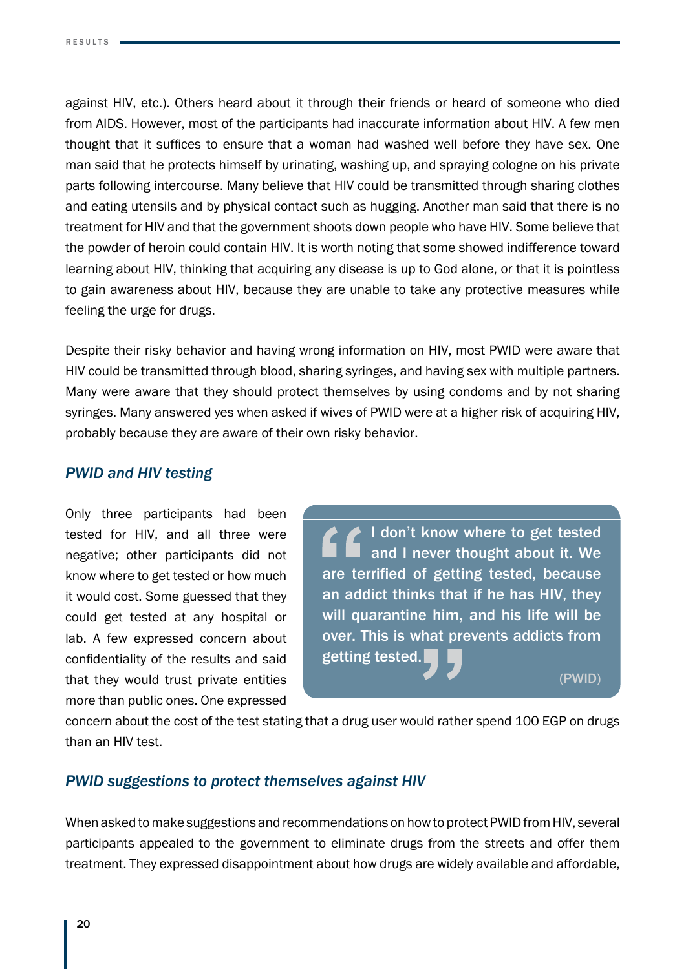against HIV, etc.). Others heard about it through their friends or heard of someone who died from AIDS. However, most of the participants had inaccurate information about HIV. A few men thought that it suffices to ensure that a woman had washed well before they have sex. One man said that he protects himself by urinating, washing up, and spraying cologne on his private parts following intercourse. Many believe that HIV could be transmitted through sharing clothes and eating utensils and by physical contact such as hugging. Another man said that there is no treatment for HIV and that the government shoots down people who have HIV. Some believe that the powder of heroin could contain HIV. It is worth noting that some showed indifference toward learning about HIV, thinking that acquiring any disease is up to God alone, or that it is pointless to gain awareness about HIV, because they are unable to take any protective measures while feeling the urge for drugs.

Despite their risky behavior and having wrong information on HIV, most PWID were aware that HIV could be transmitted through blood, sharing syringes, and having sex with multiple partners. Many were aware that they should protect themselves by using condoms and by not sharing syringes. Many answered yes when asked if wives of PWID were at a higher risk of acquiring HIV, probably because they are aware of their own risky behavior.

#### *PWID and HIV testing*

Only three participants had been tested for HIV, and all three were negative; other participants did not know where to get tested or how much it would cost. Some guessed that they could get tested at any hospital or lab. A few expressed concern about confidentiality of the results and said that they would trust private entities more than public ones. One expressed

I don't know where to get tested and I never thought about it. We are terrified of getting tested, because an addict thinks that if he has HIV, they will quarantine him, and his life will be over. This is what prevents addicts from getting tested. (PWID)

concern about the cost of the test stating that a drug user would rather spend 100 EGP on drugs than an HIV test.

#### *PWID suggestions to protect themselves against HIV*

When asked to make suggestions and recommendations on how to protect PWID from HIV, several participants appealed to the government to eliminate drugs from the streets and offer them treatment. They expressed disappointment about how drugs are widely available and affordable,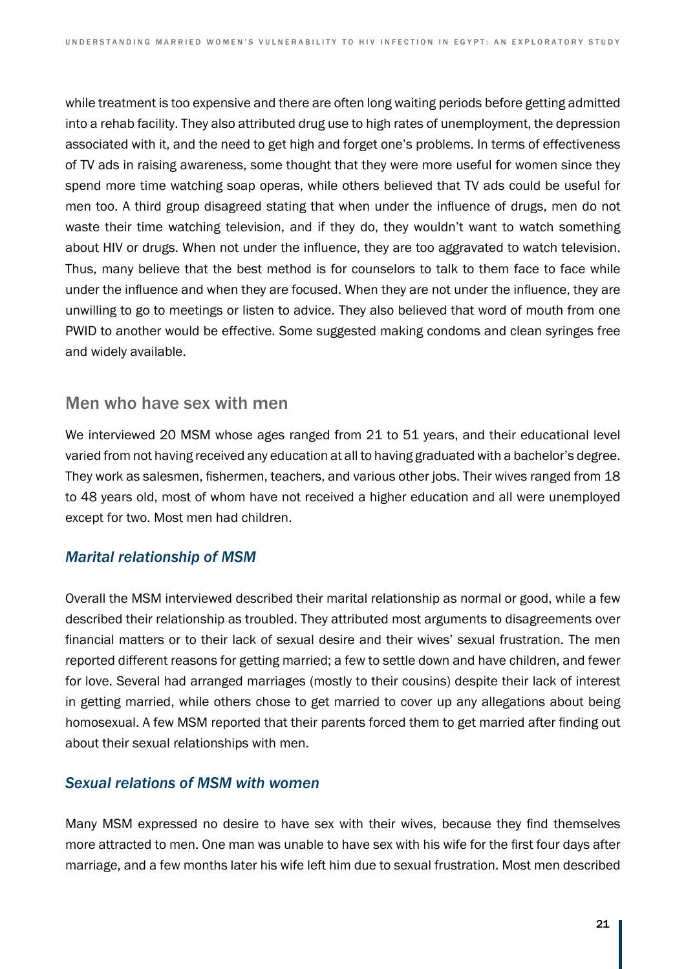while treatment is too expensive and there are often long waiting periods before getting admitted into a rehab facility. They also attributed drug use to high rates of unemployment, the depression associated with it, and the need to get high and forget one's problems. In terms of effectiveness of TV ads in raising awareness, some thought that they were more useful for women since they spend more time watching soap operas, while others believed that TV ads could be useful for men too. A third group disagreed stating that when under the influence of drugs, men do not waste their time watching television, and if they do, they wouldn't want to watch something about HIV or drugs. When not under the influence, they are too aggravated to watch television. Thus, many believe that the best method is for counselors to talk to them face to face while under the influence and when they are focused. When they are not under the influence, they are unwilling to go to meetings or listen to advice. They also believed that word of mouth from one PWID to another would be effective. Some suggested making condoms and clean syringes free and widely available.

#### Men who have sex with men

We interviewed 20 MSM whose ages ranged from 21 to 51 years, and their educational level varied from not having received any education at all to having graduated with a bachelor's degree. They work as salesmen, fishermen, teachers, and various other jobs. Their wives ranged from 18 to 48 years old, most of whom have not received a higher education and all were unemployed except for two. Most men had children.

#### *Marital relationship of MSM*

Overall the MSM interviewed described their marital relationship as normal or good, while a few described their relationship as troubled. They attributed most arguments to disagreements over financial matters or to their lack of sexual desire and their wives' sexual frustration. The men reported different reasons for getting married; a few to settle down and have children, and fewer for love. Several had arranged marriages (mostly to their cousins) despite their lack of interest in getting married, while others chose to get married to cover up any allegations about being homosexual. A few MSM reported that their parents forced them to get married after finding out about their sexual relationships with men.

#### *Sexual relations of MSM with women*

Many MSM expressed no desire to have sex with their wives, because they find themselves more attracted to men. One man was unable to have sex with his wife for the first four days after marriage, and a few months later his wife left him due to sexual frustration. Most men described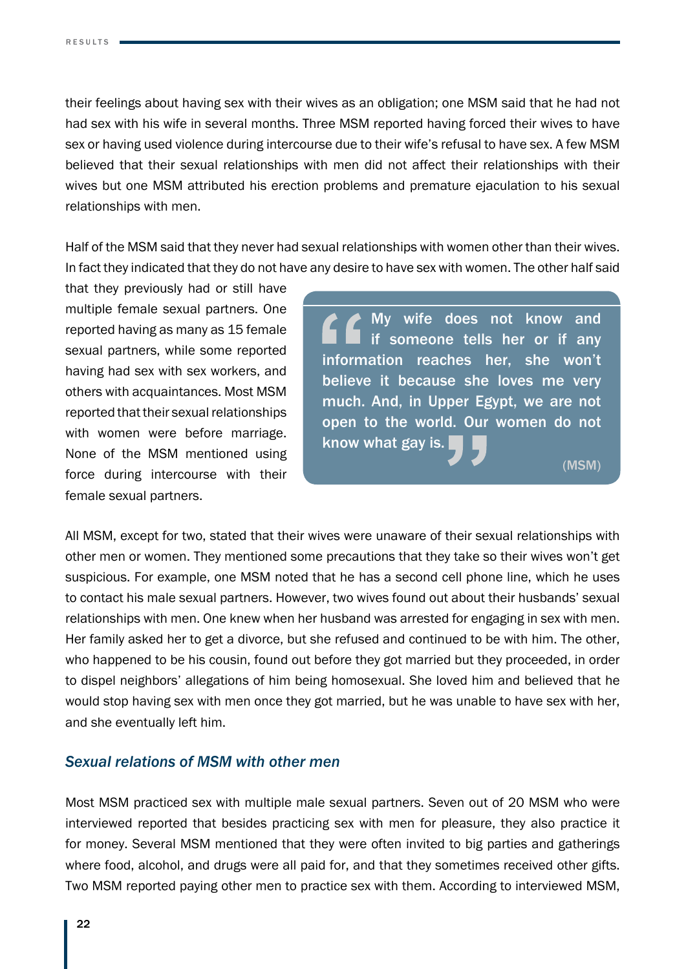their feelings about having sex with their wives as an obligation; one MSM said that he had not had sex with his wife in several months. Three MSM reported having forced their wives to have sex or having used violence during intercourse due to their wife's refusal to have sex. A few MSM believed that their sexual relationships with men did not affect their relationships with their wives but one MSM attributed his erection problems and premature ejaculation to his sexual relationships with men.

Half of the MSM said that they never had sexual relationships with women other than their wives. In fact they indicated that they do not have any desire to have sex with women. The other half said

that they previously had or still have multiple female sexual partners. One reported having as many as 15 female sexual partners, while some reported having had sex with sex workers, and others with acquaintances. Most MSM reported that their sexual relationships with women were before marriage. None of the MSM mentioned using force during intercourse with their female sexual partners.

My wife does not know and if someone tells her or if any information reaches her, she won't believe it because she loves me very much. And, in Upper Egypt, we are not open to the world. Our women do not know what gay is.

 $(MSM)$ 

All MSM, except for two, stated that their wives were unaware of their sexual relationships with other men or women. They mentioned some precautions that they take so their wives won't get suspicious. For example, one MSM noted that he has a second cell phone line, which he uses to contact his male sexual partners. However, two wives found out about their husbands' sexual relationships with men. One knew when her husband was arrested for engaging in sex with men. Her family asked her to get a divorce, but she refused and continued to be with him. The other, who happened to be his cousin, found out before they got married but they proceeded, in order to dispel neighbors' allegations of him being homosexual. She loved him and believed that he would stop having sex with men once they got married, but he was unable to have sex with her, and she eventually left him.

#### *Sexual relations of MSM with other men*

Most MSM practiced sex with multiple male sexual partners. Seven out of 20 MSM who were interviewed reported that besides practicing sex with men for pleasure, they also practice it for money. Several MSM mentioned that they were often invited to big parties and gatherings where food, alcohol, and drugs were all paid for, and that they sometimes received other gifts. Two MSM reported paying other men to practice sex with them. According to interviewed MSM,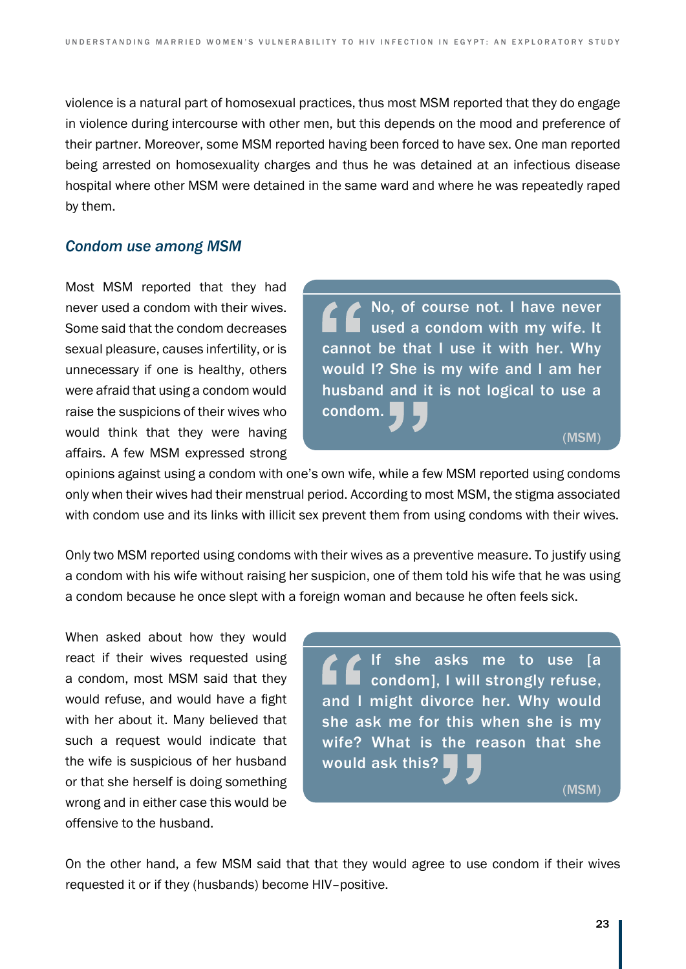violence is a natural part of homosexual practices, thus most MSM reported that they do engage in violence during intercourse with other men, but this depends on the mood and preference of their partner. Moreover, some MSM reported having been forced to have sex. One man reported being arrested on homosexuality charges and thus he was detained at an infectious disease hospital where other MSM were detained in the same ward and where he was repeatedly raped by them.

#### *Condom use among MSM*

Most MSM reported that they had never used a condom with their wives. Some said that the condom decreases sexual pleasure, causes infertility, or is unnecessary if one is healthy, others were afraid that using a condom would raise the suspicions of their wives who would think that they were having affairs. A few MSM expressed strong

No, of course not. I have never used a condom with my wife. It cannot be that I use it with her. Why would I? She is my wife and I am her husband and it is not logical to use a condom.

 $(MSM)$ 

opinions against using a condom with one's own wife, while a few MSM reported using condoms only when their wives had their menstrual period. According to most MSM, the stigma associated with condom use and its links with illicit sex prevent them from using condoms with their wives.

Only two MSM reported using condoms with their wives as a preventive measure. To justify using a condom with his wife without raising her suspicion, one of them told his wife that he was using a condom because he once slept with a foreign woman and because he often feels sick.

When asked about how they would react if their wives requested using a condom, most MSM said that they would refuse, and would have a fight with her about it. Many believed that such a request would indicate that the wife is suspicious of her husband or that she herself is doing something wrong and in either case this would be offensive to the husband.

If she asks me to use [a condom], I will strongly refuse, and I might divorce her. Why would she ask me for this when she is my wife? What is the reason that she would ask this?

 $(MSM)$ 

On the other hand, a few MSM said that that they would agree to use condom if their wives requested it or if they (husbands) become HIV–positive.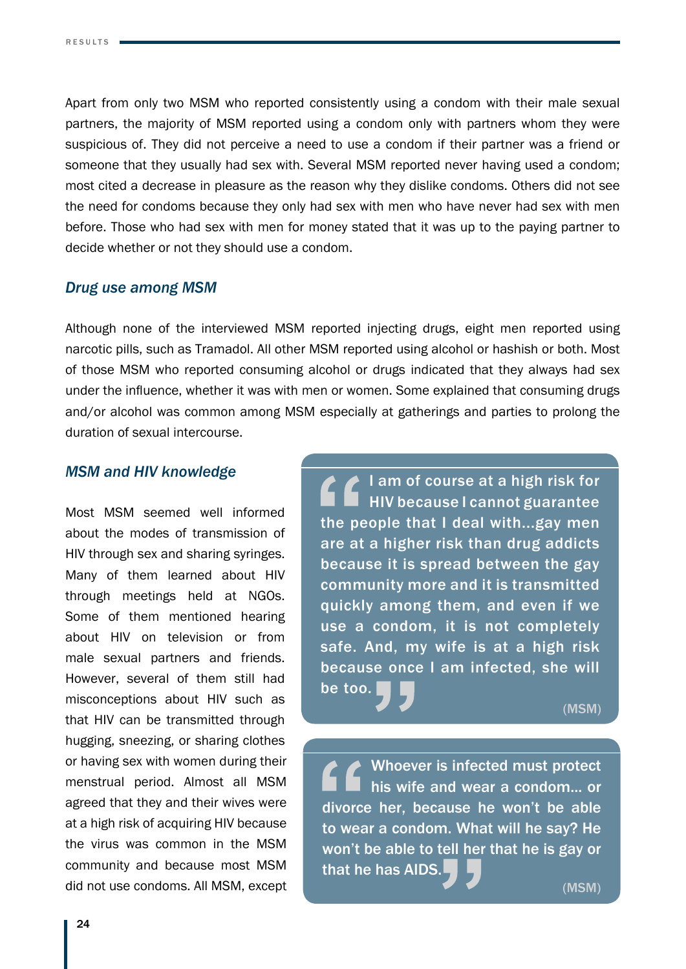Apart from only two MSM who reported consistently using a condom with their male sexual partners, the majority of MSM reported using a condom only with partners whom they were suspicious of. They did not perceive a need to use a condom if their partner was a friend or someone that they usually had sex with. Several MSM reported never having used a condom; most cited a decrease in pleasure as the reason why they dislike condoms. Others did not see the need for condoms because they only had sex with men who have never had sex with men before. Those who had sex with men for money stated that it was up to the paying partner to decide whether or not they should use a condom.

#### *Drug use among MSM*

Although none of the interviewed MSM reported injecting drugs, eight men reported using narcotic pills, such as Tramadol. All other MSM reported using alcohol or hashish or both. Most of those MSM who reported consuming alcohol or drugs indicated that they always had sex under the influence, whether it was with men or women. Some explained that consuming drugs and/or alcohol was common among MSM especially at gatherings and parties to prolong the duration of sexual intercourse.

#### *MSM and HIV knowledge*

Most MSM seemed well informed about the modes of transmission of HIV through sex and sharing syringes. Many of them learned about HIV through meetings held at NGOs. Some of them mentioned hearing about HIV on television or from male sexual partners and friends. However, several of them still had misconceptions about HIV such as that HIV can be transmitted through hugging, sneezing, or sharing clothes or having sex with women during their menstrual period. Almost all MSM agreed that they and their wives were at a high risk of acquiring HIV because the virus was common in the MSM community and because most MSM did not use condoms. All MSM, except

I am of course at a high risk for HIV because I cannot guarantee the people that I deal with...gay men are at a higher risk than drug addicts because it is spread between the gay community more and it is transmitted quickly among them, and even if we use a condom, it is not completely safe. And, my wife is at a high risk because once I am infected, she will be too.

 $(MSM)$ 

Whoever is infected must protect his wife and wear a condom... or divorce her, because he won't be able to wear a condom. What will he say? He won't be able to tell her that he is gay or that he has AIDS.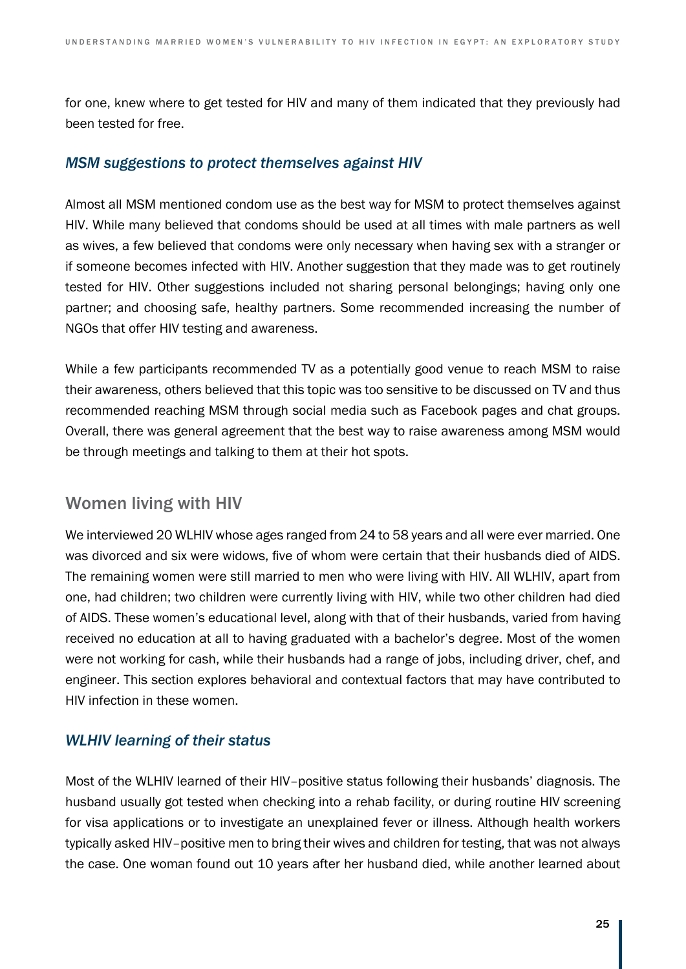for one, knew where to get tested for HIV and many of them indicated that they previously had been tested for free.

#### *MSM suggestions to protect themselves against HIV*

Almost all MSM mentioned condom use as the best way for MSM to protect themselves against HIV. While many believed that condoms should be used at all times with male partners as well as wives, a few believed that condoms were only necessary when having sex with a stranger or if someone becomes infected with HIV. Another suggestion that they made was to get routinely tested for HIV. Other suggestions included not sharing personal belongings; having only one partner; and choosing safe, healthy partners. Some recommended increasing the number of NGOs that offer HIV testing and awareness.

While a few participants recommended TV as a potentially good venue to reach MSM to raise their awareness, others believed that this topic was too sensitive to be discussed on TV and thus recommended reaching MSM through social media such as Facebook pages and chat groups. Overall, there was general agreement that the best way to raise awareness among MSM would be through meetings and talking to them at their hot spots.

### Women living with HIV

We interviewed 20 WLHIV whose ages ranged from 24 to 58 years and all were ever married. One was divorced and six were widows, five of whom were certain that their husbands died of AIDS. The remaining women were still married to men who were living with HIV. All WLHIV, apart from one, had children; two children were currently living with HIV, while two other children had died of AIDS. These women's educational level, along with that of their husbands, varied from having received no education at all to having graduated with a bachelor's degree. Most of the women were not working for cash, while their husbands had a range of jobs, including driver, chef, and engineer. This section explores behavioral and contextual factors that may have contributed to HIV infection in these women.

### *WLHIV learning of their status*

Most of the WLHIV learned of their HIV–positive status following their husbands' diagnosis. The husband usually got tested when checking into a rehab facility, or during routine HIV screening for visa applications or to investigate an unexplained fever or illness. Although health workers typically asked HIV–positive men to bring their wives and children for testing, that was not always the case. One woman found out 10 years after her husband died, while another learned about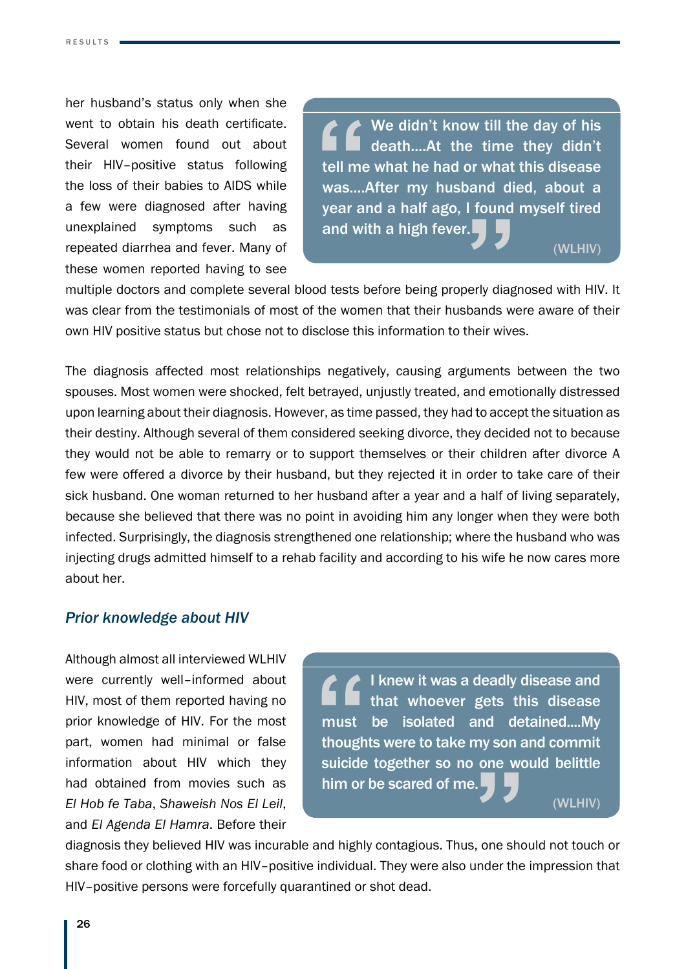her husband's status only when she went to obtain his death certificate. Several women found out about their HIV–positive status following the loss of their babies to AIDS while a few were diagnosed after having unexplained symptoms such as repeated diarrhea and fever. Many of these women reported having to see

◆ We didn't know till the day of his death....At the time they didn't tell me what he had or what this disease was....After my husband died, about a year and a half ago, I found myself tired and with a high fever.

(WLHIV)

multiple doctors and complete several blood tests before being properly diagnosed with HIV. It was clear from the testimonials of most of the women that their husbands were aware of their own HIV positive status but chose not to disclose this information to their wives.

The diagnosis affected most relationships negatively, causing arguments between the two spouses. Most women were shocked, felt betrayed, unjustly treated, and emotionally distressed upon learning about their diagnosis. However, as time passed, they had to accept the situation as their destiny. Although several of them considered seeking divorce, they decided not to because they would not be able to remarry or to support themselves or their children after divorce A few were offered a divorce by their husband, but they rejected it in order to take care of their sick husband. One woman returned to her husband after a year and a half of living separately, because she believed that there was no point in avoiding him any longer when they were both infected. Surprisingly, the diagnosis strengthened one relationship; where the husband who was injecting drugs admitted himself to a rehab facility and according to his wife he now cares more about her.

#### *Prior knowledge about HIV*

Although almost all interviewed WLHIV were currently well–informed about HIV, most of them reported having no prior knowledge of HIV. For the most part, women had minimal or false information about HIV which they had obtained from movies such as *El Hob fe Taba*, *Shaweish Nos El Leil*, and *El Agenda El Hamra*. Before their

I knew it was a deadly disease and that whoever gets this disease must be isolated and detained....My thoughts were to take my son and commit suicide together so no one would belittle him or be scared of me.

(WLHIV)

diagnosis they believed HIV was incurable and highly contagious. Thus, one should not touch or share food or clothing with an HIV–positive individual. They were also under the impression that HIV–positive persons were forcefully quarantined or shot dead.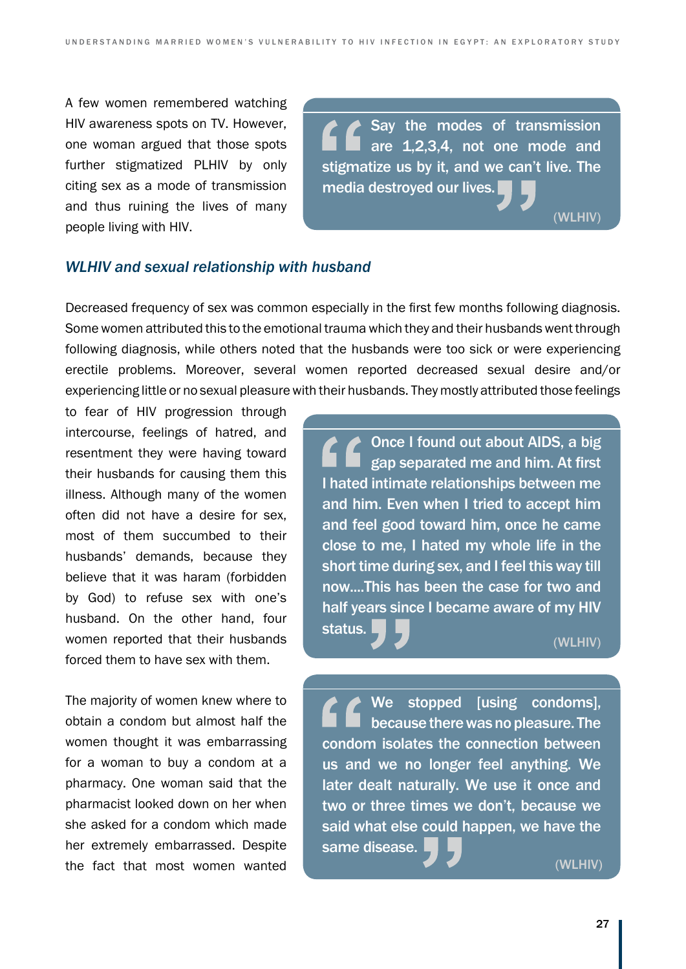A few women remembered watching HIV awareness spots on TV. However, one woman argued that those spots further stigmatized PLHIV by only citing sex as a mode of transmission and thus ruining the lives of many people living with HIV.

Say the modes of transmission are 1,2,3,4, not one mode and stigmatize us by it, and we can't live. The media destroyed our lives.

#### *WLHIV and sexual relationship with husband*

Decreased frequency of sex was common especially in the first few months following diagnosis. Some women attributed this to the emotional trauma which they and their husbands went through following diagnosis, while others noted that the husbands were too sick or were experiencing erectile problems. Moreover, several women reported decreased sexual desire and/or experiencing little or no sexual pleasure with their husbands. They mostly attributed those feelings

to fear of HIV progression through intercourse, feelings of hatred, and resentment they were having toward their husbands for causing them this illness. Although many of the women often did not have a desire for sex, most of them succumbed to their husbands' demands, because they believe that it was haram (forbidden by God) to refuse sex with one's husband. On the other hand, four women reported that their husbands forced them to have sex with them.

The majority of women knew where to obtain a condom but almost half the women thought it was embarrassing for a woman to buy a condom at a pharmacy. One woman said that the pharmacist looked down on her when she asked for a condom which made her extremely embarrassed. Despite the fact that most women wanted

Once I found out about AIDS, a big gap separated me and him. At first I hated intimate relationships between me and him. Even when I tried to accept him and feel good toward him, once he came close to me, I hated my whole life in the short time during sex, and I feel this way till now....This has been the case for two and half years since I became aware of my HIV status.

(WLHIV)

(WLHIV)

We stopped [using condoms], because there was no pleasure. The condom isolates the connection between us and we no longer feel anything. We later dealt naturally. We use it once and two or three times we don't, because we said what else could happen, we have the same disease.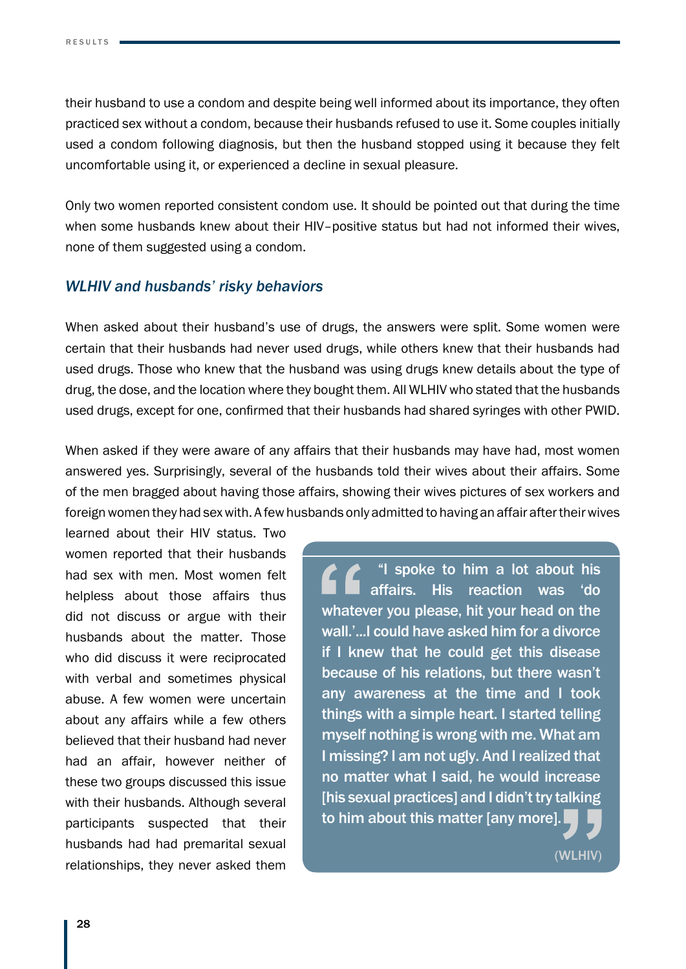their husband to use a condom and despite being well informed about its importance, they often practiced sex without a condom, because their husbands refused to use it. Some couples initially used a condom following diagnosis, but then the husband stopped using it because they felt uncomfortable using it, or experienced a decline in sexual pleasure.

Only two women reported consistent condom use. It should be pointed out that during the time when some husbands knew about their HIV–positive status but had not informed their wives. none of them suggested using a condom.

#### *WLHIV and husbands' risky behaviors*

When asked about their husband's use of drugs, the answers were split. Some women were certain that their husbands had never used drugs, while others knew that their husbands had used drugs. Those who knew that the husband was using drugs knew details about the type of drug, the dose, and the location where they bought them. All WLHIV who stated that the husbands used drugs, except for one, confirmed that their husbands had shared syringes with other PWID.

When asked if they were aware of any affairs that their husbands may have had, most women answered yes. Surprisingly, several of the husbands told their wives about their affairs. Some of the men bragged about having those affairs, showing their wives pictures of sex workers and foreign women they had sex with. A few husbands only admitted to having an affair after their wives

learned about their HIV status. Two women reported that their husbands had sex with men. Most women felt helpless about those affairs thus did not discuss or argue with their husbands about the matter. Those who did discuss it were reciprocated with verbal and sometimes physical abuse. A few women were uncertain about any affairs while a few others believed that their husband had never had an affair, however neither of these two groups discussed this issue with their husbands. Although several participants suspected that their husbands had had premarital sexual relationships, they never asked them

 "I spoke to him a lot about his affairs. His reaction was 'do whatever you please, hit your head on the wall.'...I could have asked him for a divorce if I knew that he could get this disease because of his relations, but there wasn't any awareness at the time and I took things with a simple heart. I started telling myself nothing is wrong with me. What am I missing? I am not ugly. And I realized that no matter what I said, he would increase [his sexual practices] and I didn't try talking to him about this matter [any more].

(WLHIV)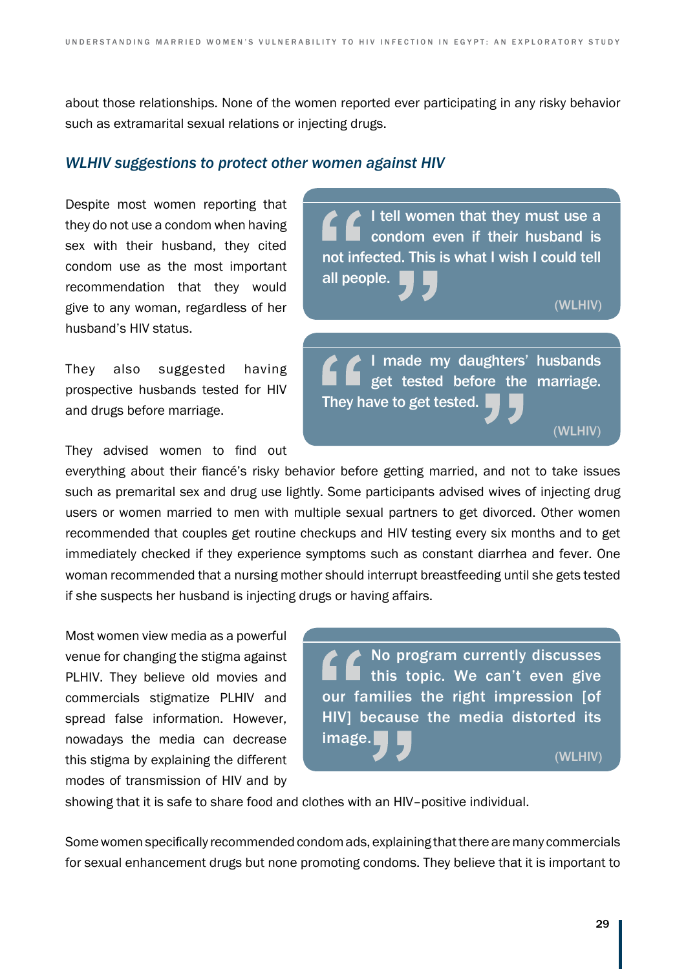about those relationships. None of the women reported ever participating in any risky behavior such as extramarital sexual relations or injecting drugs.

all people.

They have to get tested.

#### *WLHIV suggestions to protect other women against HIV*

Despite most women reporting that they do not use a condom when having sex with their husband, they cited condom use as the most important recommendation that they would give to any woman, regardless of her husband's HIV status.

They also suggested having prospective husbands tested for HIV and drugs before marriage.

They advised women to find out

everything about their fiancé's risky behavior before getting married, and not to take issues such as premarital sex and drug use lightly. Some participants advised wives of injecting drug users or women married to men with multiple sexual partners to get divorced. Other women recommended that couples get routine checkups and HIV testing every six months and to get immediately checked if they experience symptoms such as constant diarrhea and fever. One woman recommended that a nursing mother should interrupt breastfeeding until she gets tested if she suspects her husband is injecting drugs or having affairs.

Most women view media as a powerful venue for changing the stigma against PLHIV. They believe old movies and commercials stigmatize PLHIV and spread false information. However, nowadays the media can decrease this stigma by explaining the different modes of transmission of HIV and by



I tell women that they must use a condom even if their husband is

I made my daughters' husbands get tested before the marriage.

(WLHIV)

(WLHIV)

not infected. This is what I wish I could tell

showing that it is safe to share food and clothes with an HIV–positive individual.

Some women specifically recommended condom ads, explaining that there are many commercials for sexual enhancement drugs but none promoting condoms. They believe that it is important to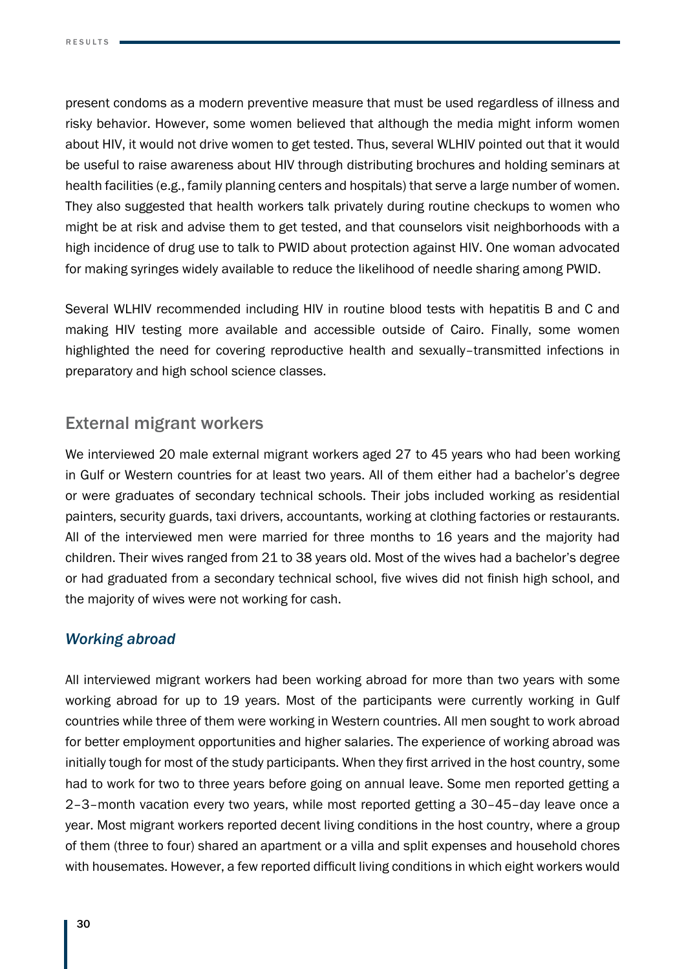present condoms as a modern preventive measure that must be used regardless of illness and risky behavior. However, some women believed that although the media might inform women about HIV, it would not drive women to get tested. Thus, several WLHIV pointed out that it would be useful to raise awareness about HIV through distributing brochures and holding seminars at health facilities (e.g., family planning centers and hospitals) that serve a large number of women. They also suggested that health workers talk privately during routine checkups to women who might be at risk and advise them to get tested, and that counselors visit neighborhoods with a high incidence of drug use to talk to PWID about protection against HIV. One woman advocated for making syringes widely available to reduce the likelihood of needle sharing among PWID.

Several WLHIV recommended including HIV in routine blood tests with hepatitis B and C and making HIV testing more available and accessible outside of Cairo. Finally, some women highlighted the need for covering reproductive health and sexually–transmitted infections in preparatory and high school science classes.

### External migrant workers

We interviewed 20 male external migrant workers aged 27 to 45 years who had been working in Gulf or Western countries for at least two years. All of them either had a bachelor's degree or were graduates of secondary technical schools. Their jobs included working as residential painters, security guards, taxi drivers, accountants, working at clothing factories or restaurants. All of the interviewed men were married for three months to 16 years and the majority had children. Their wives ranged from 21 to 38 years old. Most of the wives had a bachelor's degree or had graduated from a secondary technical school, five wives did not finish high school, and the majority of wives were not working for cash.

### *Working abroad*

All interviewed migrant workers had been working abroad for more than two years with some working abroad for up to 19 years. Most of the participants were currently working in Gulf countries while three of them were working in Western countries. All men sought to work abroad for better employment opportunities and higher salaries. The experience of working abroad was initially tough for most of the study participants. When they first arrived in the host country, some had to work for two to three years before going on annual leave. Some men reported getting a 2–3–month vacation every two years, while most reported getting a 30–45–day leave once a year. Most migrant workers reported decent living conditions in the host country, where a group of them (three to four) shared an apartment or a villa and split expenses and household chores with housemates. However, a few reported difficult living conditions in which eight workers would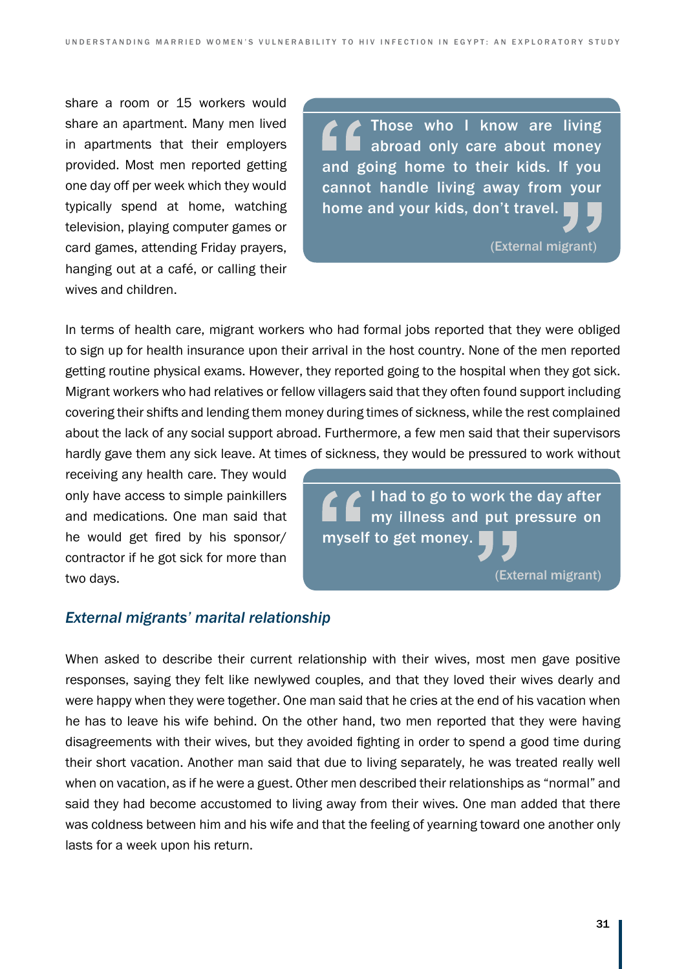share a room or 15 workers would share an apartment. Many men lived in apartments that their employers provided. Most men reported getting one day off per week which they would typically spend at home, watching television, playing computer games or card games, attending Friday prayers, hanging out at a café, or calling their wives and children.

Those who I know are living abroad only care about money and going home to their kids. If you cannot handle living away from your home and your kids, don't travel.

(External migrant)

In terms of health care, migrant workers who had formal jobs reported that they were obliged to sign up for health insurance upon their arrival in the host country. None of the men reported getting routine physical exams. However, they reported going to the hospital when they got sick. Migrant workers who had relatives or fellow villagers said that they often found support including covering their shifts and lending them money during times of sickness, while the rest complained about the lack of any social support abroad. Furthermore, a few men said that their supervisors hardly gave them any sick leave. At times of sickness, they would be pressured to work without

receiving any health care. They would only have access to simple painkillers and medications. One man said that he would get fired by his sponsor/ contractor if he got sick for more than two days.

I had to go to work the day after my illness and put pressure on myself to get money.

(External migrant)

#### *External migrants' marital relationship*

When asked to describe their current relationship with their wives, most men gave positive responses, saying they felt like newlywed couples, and that they loved their wives dearly and were happy when they were together. One man said that he cries at the end of his vacation when he has to leave his wife behind. On the other hand, two men reported that they were having disagreements with their wives, but they avoided fighting in order to spend a good time during their short vacation. Another man said that due to living separately, he was treated really well when on vacation, as if he were a guest. Other men described their relationships as "normal" and said they had become accustomed to living away from their wives. One man added that there was coldness between him and his wife and that the feeling of yearning toward one another only lasts for a week upon his return.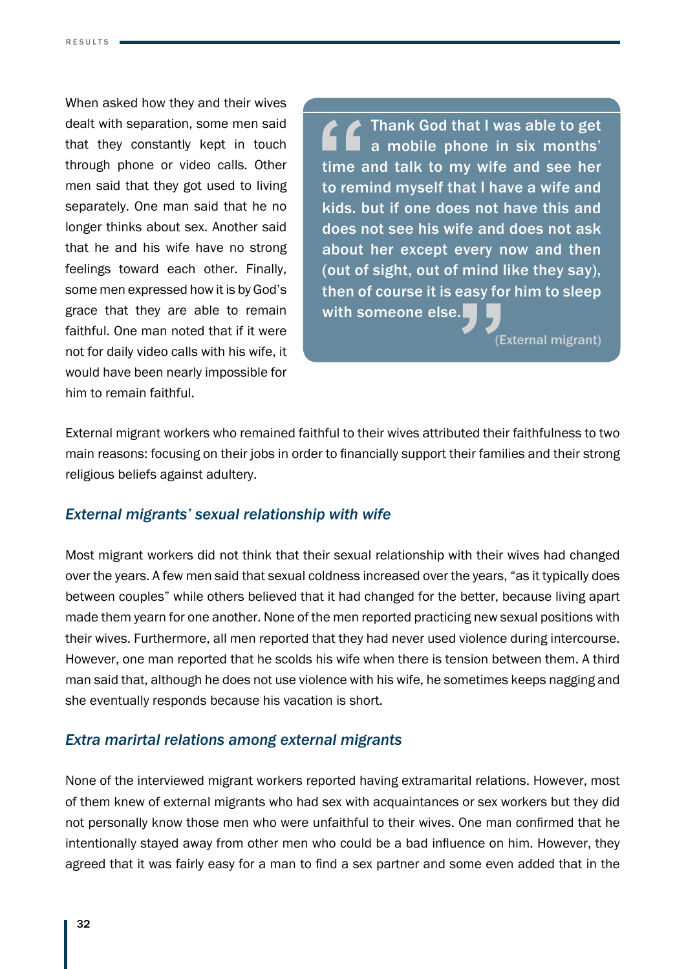When asked how they and their wives dealt with separation, some men said that they constantly kept in touch through phone or video calls. Other men said that they got used to living separately. One man said that he no longer thinks about sex. Another said that he and his wife have no strong feelings toward each other. Finally, some men expressed how it is by God's grace that they are able to remain faithful. One man noted that if it were not for daily video calls with his wife, it would have been nearly impossible for him to remain faithful.

**Thank God that I was able to get** a mobile phone in six months' time and talk to my wife and see her to remind myself that I have a wife and kids. but if one does not have this and does not see his wife and does not ask about her except every now and then (out of sight, out of mind like they say), then of course it is easy for him to sleep with someone else.

(External migrant)

External migrant workers who remained faithful to their wives attributed their faithfulness to two main reasons: focusing on their jobs in order to financially support their families and their strong religious beliefs against adultery.

#### *External migrants' sexual relationship with wife*

Most migrant workers did not think that their sexual relationship with their wives had changed over the years. A few men said that sexual coldness increased over the years, "as it typically does between couples" while others believed that it had changed for the better, because living apart made them yearn for one another. None of the men reported practicing new sexual positions with their wives. Furthermore, all men reported that they had never used violence during intercourse. However, one man reported that he scolds his wife when there is tension between them. A third man said that, although he does not use violence with his wife, he sometimes keeps nagging and she eventually responds because his vacation is short.

#### *Extra marirtal relations among external migrants*

None of the interviewed migrant workers reported having extramarital relations. However, most of them knew of external migrants who had sex with acquaintances or sex workers but they did not personally know those men who were unfaithful to their wives. One man confirmed that he intentionally stayed away from other men who could be a bad influence on him. However, they agreed that it was fairly easy for a man to find a sex partner and some even added that in the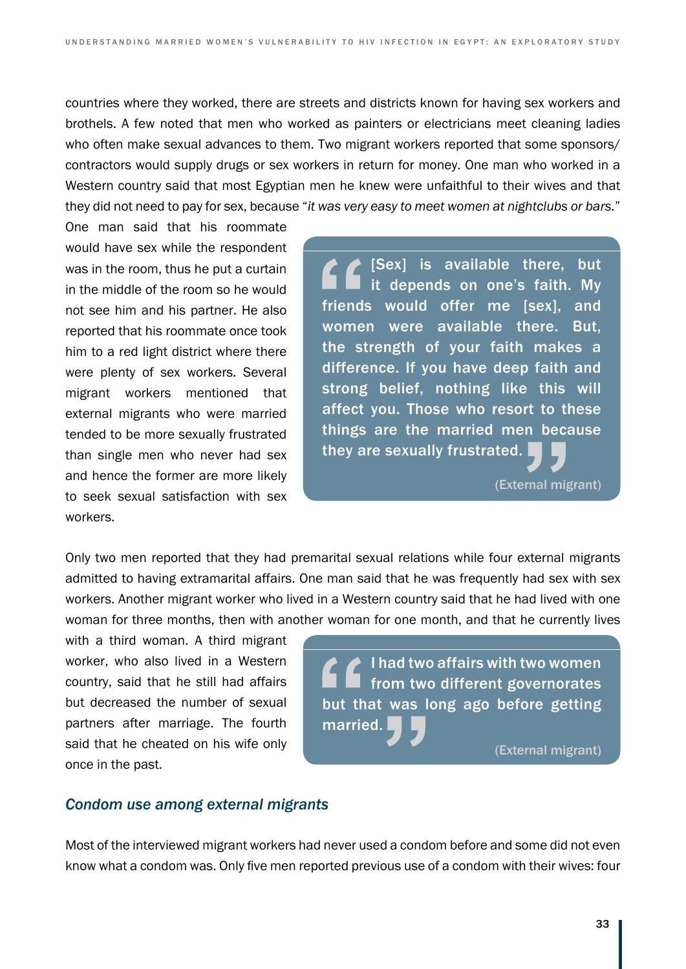countries where they worked, there are streets and districts known for having sex workers and brothels. A few noted that men who worked as painters or electricians meet cleaning ladies who often make sexual advances to them. Two migrant workers reported that some sponsors/ contractors would supply drugs or sex workers in return for money. One man who worked in a Western country said that most Egyptian men he knew were unfaithful to their wives and that they did not need to pay for sex, because "*it was very easy to meet women at nightclubs or bars.*"

One man said that his roommate would have sex while the respondent was in the room, thus he put a curtain in the middle of the room so he would not see him and his partner. He also reported that his roommate once took him to a red light district where there were plenty of sex workers. Several migrant workers mentioned that external migrants who were married tended to be more sexually frustrated than single men who never had sex and hence the former are more likely to seek sexual satisfaction with sex workers.

 $\blacktriangleright$  [Sex] is available there, but it depends on one's faith. My friends would offer me [sex], and women were available there. But, the strength of your faith makes a difference. If you have deep faith and strong belief, nothing like this will affect you. Those who resort to these things are the married men because they are sexually frustrated.

(External migrant)

Only two men reported that they had premarital sexual relations while four external migrants admitted to having extramarital affairs. One man said that he was frequently had sex with sex workers. Another migrant worker who lived in a Western country said that he had lived with one woman for three months, then with another woman for one month, and that he currently lives

with a third woman. A third migrant worker, who also lived in a Western country, said that he still had affairs but decreased the number of sexual partners after marriage. The fourth said that he cheated on his wife only once in the past.

I had two affairs with two women from two different governorates but that was long ago before getting married.

(External migrant)

#### *Condom use among external migrants*

Most of the interviewed migrant workers had never used a condom before and some did not even know what a condom was. Only five men reported previous use of a condom with their wives: four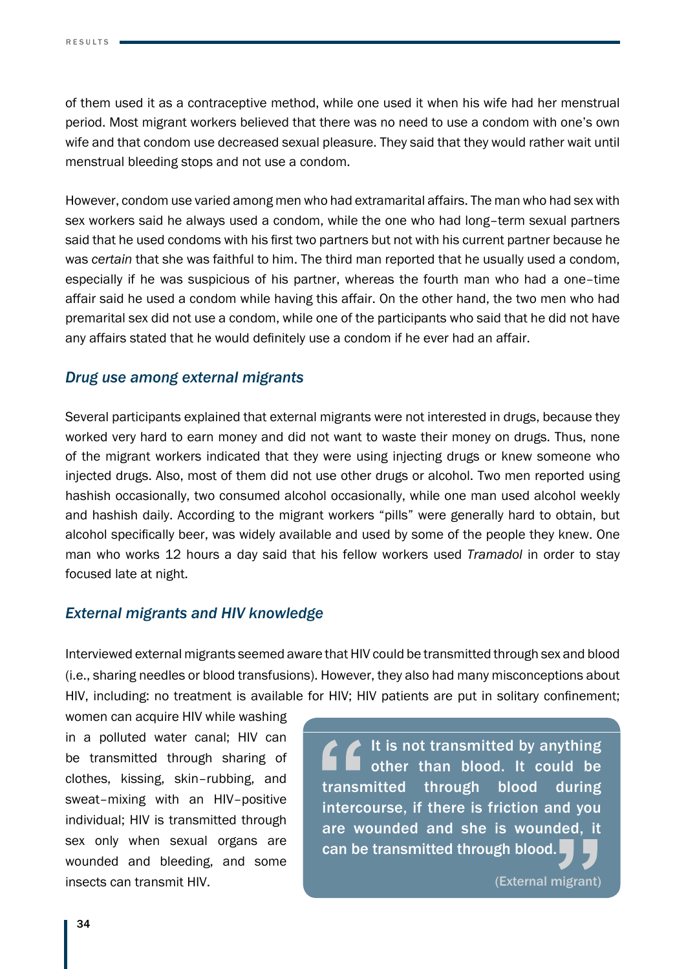of them used it as a contraceptive method, while one used it when his wife had her menstrual period. Most migrant workers believed that there was no need to use a condom with one's own wife and that condom use decreased sexual pleasure. They said that they would rather wait until menstrual bleeding stops and not use a condom.

However, condom use varied among men who had extramarital affairs. The man who had sex with sex workers said he always used a condom, while the one who had long–term sexual partners said that he used condoms with his first two partners but not with his current partner because he was *certain* that she was faithful to him. The third man reported that he usually used a condom, especially if he was suspicious of his partner, whereas the fourth man who had a one–time affair said he used a condom while having this affair. On the other hand, the two men who had premarital sex did not use a condom, while one of the participants who said that he did not have any affairs stated that he would definitely use a condom if he ever had an affair.

#### *Drug use among external migrants*

Several participants explained that external migrants were not interested in drugs, because they worked very hard to earn money and did not want to waste their money on drugs. Thus, none of the migrant workers indicated that they were using injecting drugs or knew someone who injected drugs. Also, most of them did not use other drugs or alcohol. Two men reported using hashish occasionally, two consumed alcohol occasionally, while one man used alcohol weekly and hashish daily. According to the migrant workers "pills" were generally hard to obtain, but alcohol specifically beer, was widely available and used by some of the people they knew. One man who works 12 hours a day said that his fellow workers used *Tramadol* in order to stay focused late at night.

#### *External migrants and HIV knowledge*

Interviewed external migrants seemed aware that HIV could be transmitted through sex and blood (i.e., sharing needles or blood transfusions). However, they also had many misconceptions about HIV, including: no treatment is available for HIV; HIV patients are put in solitary confinement;

women can acquire HIV while washing in a polluted water canal; HIV can be transmitted through sharing of clothes, kissing, skin–rubbing, and sweat–mixing with an HIV–positive individual; HIV is transmitted through sex only when sexual organs are wounded and bleeding, and some insects can transmit HIV.

It is not transmitted by anything other than blood. It could be transmitted through blood during intercourse, if there is friction and you are wounded and she is wounded, it can be transmitted through blood.

(External migrant)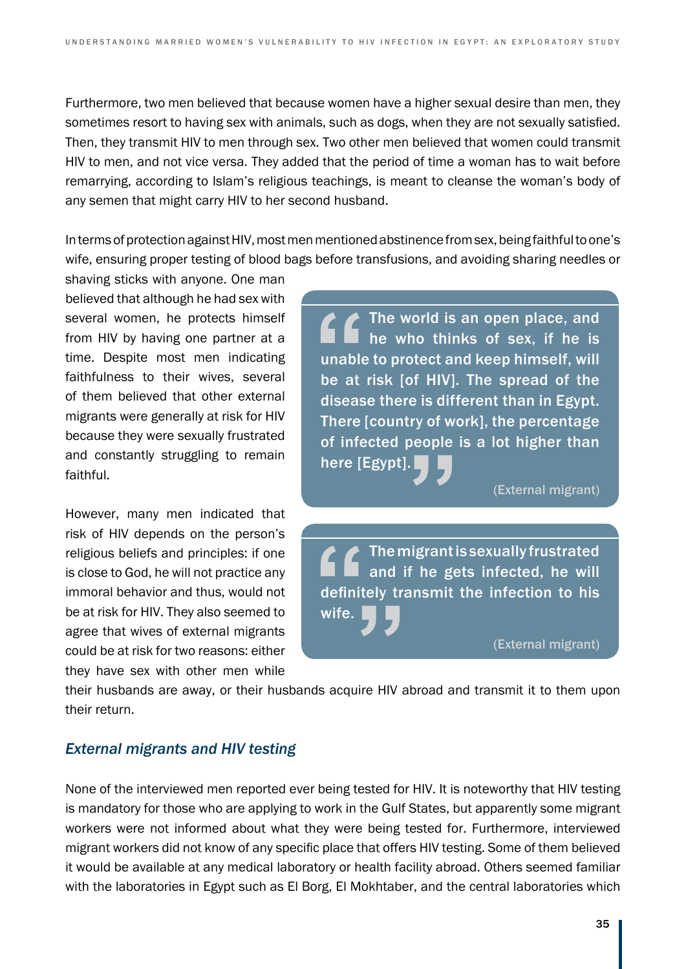Furthermore, two men believed that because women have a higher sexual desire than men, they sometimes resort to having sex with animals, such as dogs, when they are not sexually satisfied. Then, they transmit HIV to men through sex. Two other men believed that women could transmit HIV to men, and not vice versa. They added that the period of time a woman has to wait before remarrying, according to Islam's religious teachings, is meant to cleanse the woman's body of any semen that might carry HIV to her second husband.

In terms of protection against HIV, most men mentioned abstinence from sex, being faithful to one's wife, ensuring proper testing of blood bags before transfusions, and avoiding sharing needles or

shaving sticks with anyone. One man believed that although he had sex with several women, he protects himself from HIV by having one partner at a time. Despite most men indicating faithfulness to their wives, several of them believed that other external migrants were generally at risk for HIV because they were sexually frustrated and constantly struggling to remain faithful.

However, many men indicated that risk of HIV depends on the person's religious beliefs and principles: if one is close to God, he will not practice any immoral behavior and thus, would not be at risk for HIV. They also seemed to agree that wives of external migrants could be at risk for two reasons: either they have sex with other men while

The world is an open place, and he who thinks of sex, if he is unable to protect and keep himself, will be at risk [of HIV]. The spread of the disease there is different than in Egypt. There [country of work], the percentage of infected people is a lot higher than here [Egypt].

(External migrant)

The migrant is sexually frustrated and if he gets infected, he will definitely transmit the infection to his wife.

(External migrant)

their husbands are away, or their husbands acquire HIV abroad and transmit it to them upon their return.

#### *External migrants and HIV testing*

None of the interviewed men reported ever being tested for HIV. It is noteworthy that HIV testing is mandatory for those who are applying to work in the Gulf States, but apparently some migrant workers were not informed about what they were being tested for. Furthermore, interviewed migrant workers did not know of any specific place that offers HIV testing. Some of them believed it would be available at any medical laboratory or health facility abroad. Others seemed familiar with the laboratories in Egypt such as El Borg, El Mokhtaber, and the central laboratories which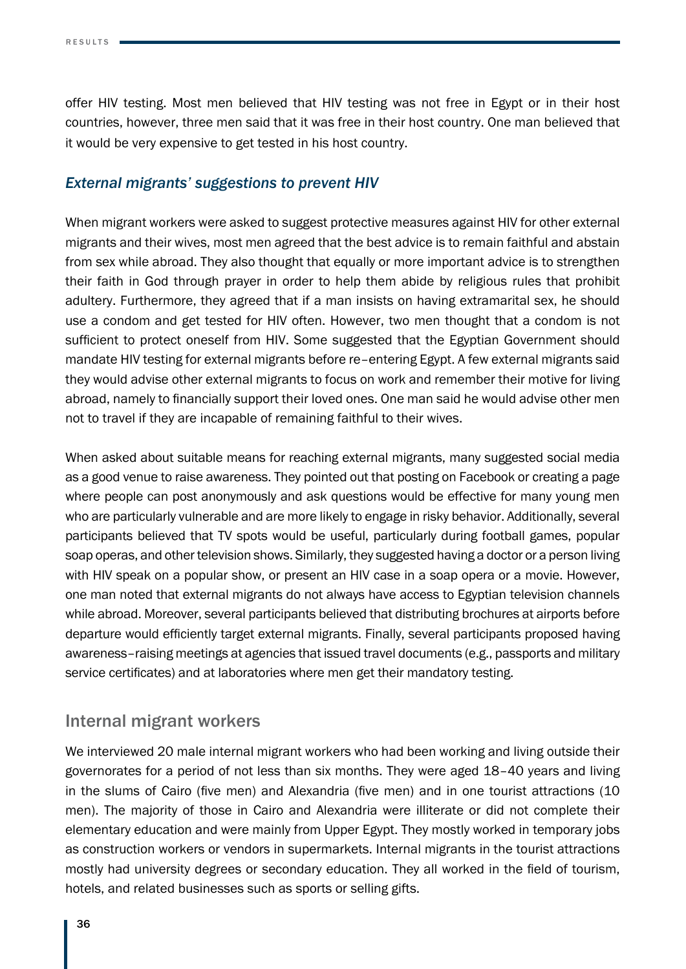offer HIV testing. Most men believed that HIV testing was not free in Egypt or in their host countries, however, three men said that it was free in their host country. One man believed that it would be very expensive to get tested in his host country.

#### *External migrants' suggestions to prevent HIV*

When migrant workers were asked to suggest protective measures against HIV for other external migrants and their wives, most men agreed that the best advice is to remain faithful and abstain from sex while abroad. They also thought that equally or more important advice is to strengthen their faith in God through prayer in order to help them abide by religious rules that prohibit adultery. Furthermore, they agreed that if a man insists on having extramarital sex, he should use a condom and get tested for HIV often. However, two men thought that a condom is not sufficient to protect oneself from HIV. Some suggested that the Egyptian Government should mandate HIV testing for external migrants before re–entering Egypt. A few external migrants said they would advise other external migrants to focus on work and remember their motive for living abroad, namely to financially support their loved ones. One man said he would advise other men not to travel if they are incapable of remaining faithful to their wives.

When asked about suitable means for reaching external migrants, many suggested social media as a good venue to raise awareness. They pointed out that posting on Facebook or creating a page where people can post anonymously and ask questions would be effective for many young men who are particularly vulnerable and are more likely to engage in risky behavior. Additionally, several participants believed that TV spots would be useful, particularly during football games, popular soap operas, and other television shows. Similarly, they suggested having a doctor or a person living with HIV speak on a popular show, or present an HIV case in a soap opera or a movie. However, one man noted that external migrants do not always have access to Egyptian television channels while abroad. Moreover, several participants believed that distributing brochures at airports before departure would efficiently target external migrants. Finally, several participants proposed having awareness–raising meetings at agencies that issued travel documents (e.g., passports and military service certificates) and at laboratories where men get their mandatory testing.

### Internal migrant workers

We interviewed 20 male internal migrant workers who had been working and living outside their governorates for a period of not less than six months. They were aged 18–40 years and living in the slums of Cairo (five men) and Alexandria (five men) and in one tourist attractions (10 men). The majority of those in Cairo and Alexandria were illiterate or did not complete their elementary education and were mainly from Upper Egypt. They mostly worked in temporary jobs as construction workers or vendors in supermarkets. Internal migrants in the tourist attractions mostly had university degrees or secondary education. They all worked in the field of tourism, hotels, and related businesses such as sports or selling gifts.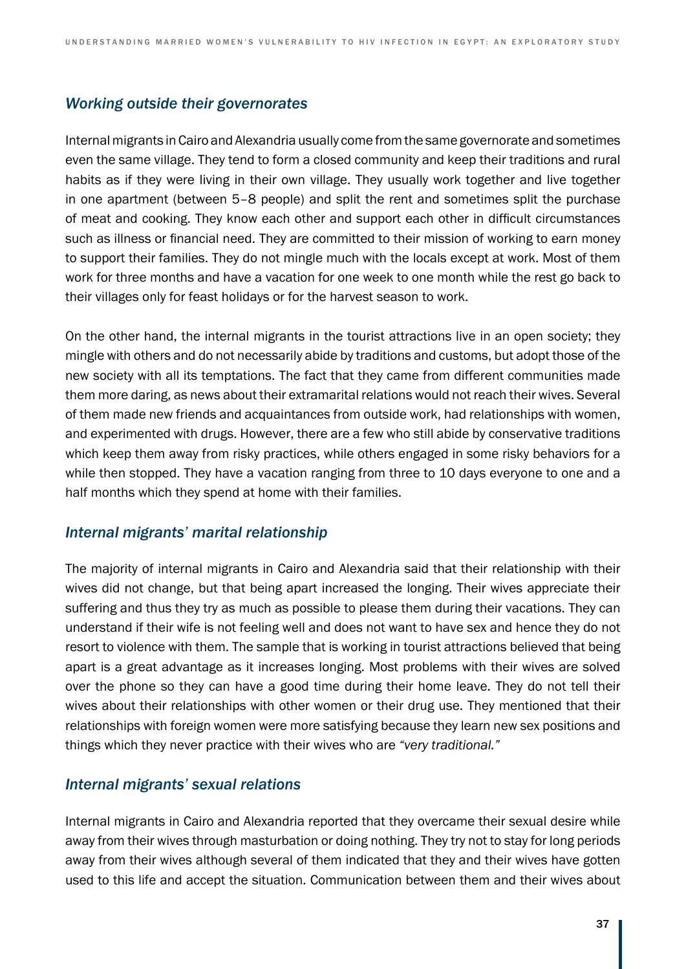#### *Working outside their governorates*

Internal migrants in Cairo and Alexandria usually come from the same governorate and sometimes even the same village. They tend to form a closed community and keep their traditions and rural habits as if they were living in their own village. They usually work together and live together in one apartment (between 5–8 people) and split the rent and sometimes split the purchase of meat and cooking. They know each other and support each other in difficult circumstances such as illness or financial need. They are committed to their mission of working to earn money to support their families. They do not mingle much with the locals except at work. Most of them work for three months and have a vacation for one week to one month while the rest go back to their villages only for feast holidays or for the harvest season to work.

On the other hand, the internal migrants in the tourist attractions live in an open society; they mingle with others and do not necessarily abide by traditions and customs, but adopt those of the new society with all its temptations. The fact that they came from different communities made them more daring, as news about their extramarital relations would not reach their wives. Several of them made new friends and acquaintances from outside work, had relationships with women, and experimented with drugs. However, there are a few who still abide by conservative traditions which keep them away from risky practices, while others engaged in some risky behaviors for a while then stopped. They have a vacation ranging from three to 10 days everyone to one and a half months which they spend at home with their families.

#### *Internal migrants' marital relationship*

The majority of internal migrants in Cairo and Alexandria said that their relationship with their wives did not change, but that being apart increased the longing. Their wives appreciate their suffering and thus they try as much as possible to please them during their vacations. They can understand if their wife is not feeling well and does not want to have sex and hence they do not resort to violence with them. The sample that is working in tourist attractions believed that being apart is a great advantage as it increases longing. Most problems with their wives are solved over the phone so they can have a good time during their home leave. They do not tell their wives about their relationships with other women or their drug use. They mentioned that their relationships with foreign women were more satisfying because they learn new sex positions and things which they never practice with their wives who are *"very traditional."*

#### *Internal migrants' sexual relations*

Internal migrants in Cairo and Alexandria reported that they overcame their sexual desire while away from their wives through masturbation or doing nothing. They try not to stay for long periods away from their wives although several of them indicated that they and their wives have gotten used to this life and accept the situation. Communication between them and their wives about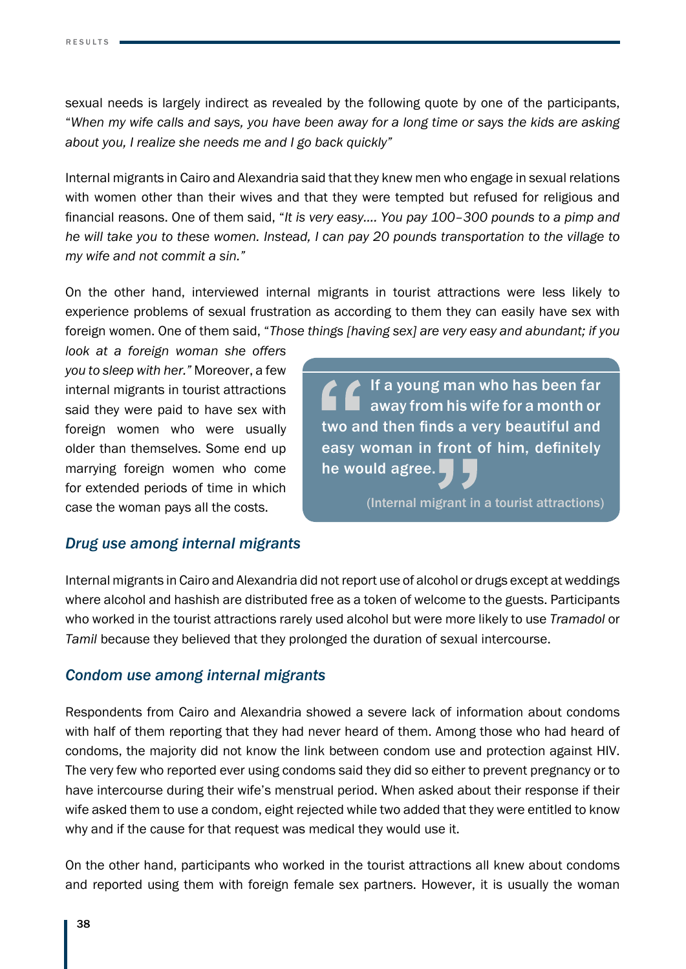sexual needs is largely indirect as revealed by the following quote by one of the participants, "*When my wife calls and says, you have been away for a long time or says the kids are asking about you, I realize she needs me and I go back quickly"*

Internal migrants in Cairo and Alexandria said that they knew men who engage in sexual relations with women other than their wives and that they were tempted but refused for religious and financial reasons. One of them said, "*It is very easy.... You pay 100–300 pounds to a pimp and he will take you to these women. Instead, I can pay 20 pounds transportation to the village to my wife and not commit a sin."*

On the other hand, interviewed internal migrants in tourist attractions were less likely to experience problems of sexual frustration as according to them they can easily have sex with foreign women. One of them said, "*Those things [having sex] are very easy and abundant; if you* 

*look at a foreign woman she offers you to sleep with her."* Moreover, a few internal migrants in tourist attractions said they were paid to have sex with foreign women who were usually older than themselves. Some end up marrying foreign women who come for extended periods of time in which case the woman pays all the costs.

 $\blacktriangleright$  If a young man who has been far away from his wife for a month or two and then finds a very beautiful and easy woman in front of him, definitely he would agree.

(Internal migrant in a tourist attractions)

#### *Drug use among internal migrants*

Internal migrants in Cairo and Alexandria did not report use of alcohol or drugs except at weddings where alcohol and hashish are distributed free as a token of welcome to the guests. Participants who worked in the tourist attractions rarely used alcohol but were more likely to use *Tramadol* or *Tamil* because they believed that they prolonged the duration of sexual intercourse.

#### *Condom use among internal migrants*

Respondents from Cairo and Alexandria showed a severe lack of information about condoms with half of them reporting that they had never heard of them. Among those who had heard of condoms, the majority did not know the link between condom use and protection against HIV. The very few who reported ever using condoms said they did so either to prevent pregnancy or to have intercourse during their wife's menstrual period. When asked about their response if their wife asked them to use a condom, eight rejected while two added that they were entitled to know why and if the cause for that request was medical they would use it.

On the other hand, participants who worked in the tourist attractions all knew about condoms and reported using them with foreign female sex partners. However, it is usually the woman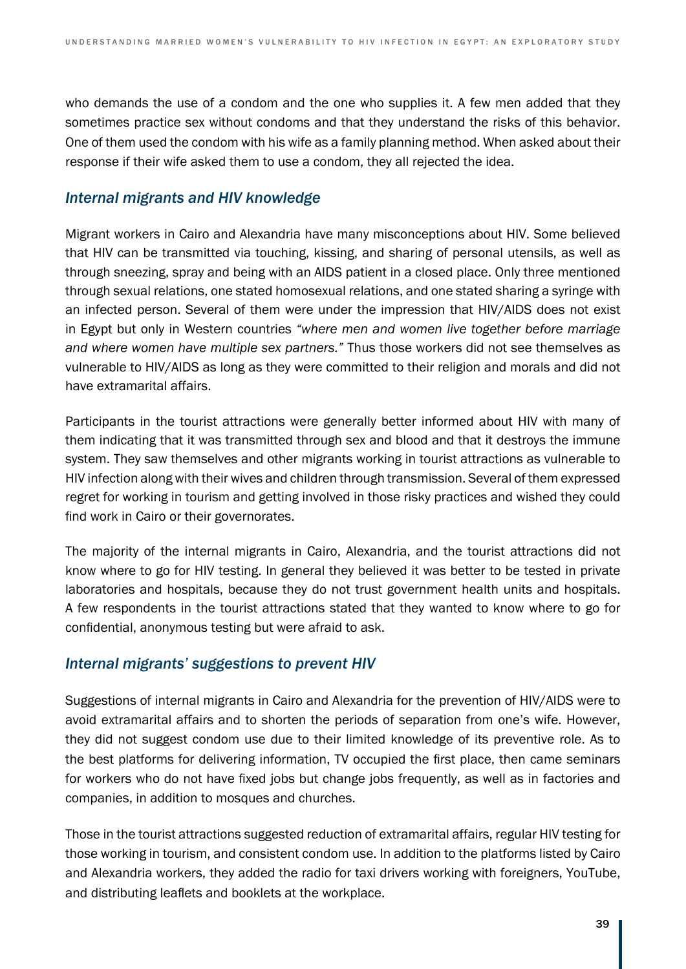who demands the use of a condom and the one who supplies it. A few men added that they sometimes practice sex without condoms and that they understand the risks of this behavior. One of them used the condom with his wife as a family planning method. When asked about their response if their wife asked them to use a condom, they all rejected the idea.

### *Internal migrants and HIV knowledge*

Migrant workers in Cairo and Alexandria have many misconceptions about HIV. Some believed that HIV can be transmitted via touching, kissing, and sharing of personal utensils, as well as through sneezing, spray and being with an AIDS patient in a closed place. Only three mentioned through sexual relations, one stated homosexual relations, and one stated sharing a syringe with an infected person. Several of them were under the impression that HIV/AIDS does not exist in Egypt but only in Western countries *"where men and women live together before marriage and where women have multiple sex partners."* Thus those workers did not see themselves as vulnerable to HIV/AIDS as long as they were committed to their religion and morals and did not have extramarital affairs.

Participants in the tourist attractions were generally better informed about HIV with many of them indicating that it was transmitted through sex and blood and that it destroys the immune system. They saw themselves and other migrants working in tourist attractions as vulnerable to HIV infection along with their wives and children through transmission. Several of them expressed regret for working in tourism and getting involved in those risky practices and wished they could find work in Cairo or their governorates.

The majority of the internal migrants in Cairo, Alexandria, and the tourist attractions did not know where to go for HIV testing. In general they believed it was better to be tested in private laboratories and hospitals, because they do not trust government health units and hospitals. A few respondents in the tourist attractions stated that they wanted to know where to go for confidential, anonymous testing but were afraid to ask.

#### *Internal migrants' suggestions to prevent HIV*

Suggestions of internal migrants in Cairo and Alexandria for the prevention of HIV/AIDS were to avoid extramarital affairs and to shorten the periods of separation from one's wife. However, they did not suggest condom use due to their limited knowledge of its preventive role. As to the best platforms for delivering information, TV occupied the first place, then came seminars for workers who do not have fixed jobs but change jobs frequently, as well as in factories and companies, in addition to mosques and churches.

Those in the tourist attractions suggested reduction of extramarital affairs, regular HIV testing for those working in tourism, and consistent condom use. In addition to the platforms listed by Cairo and Alexandria workers, they added the radio for taxi drivers working with foreigners, YouTube, and distributing leaflets and booklets at the workplace.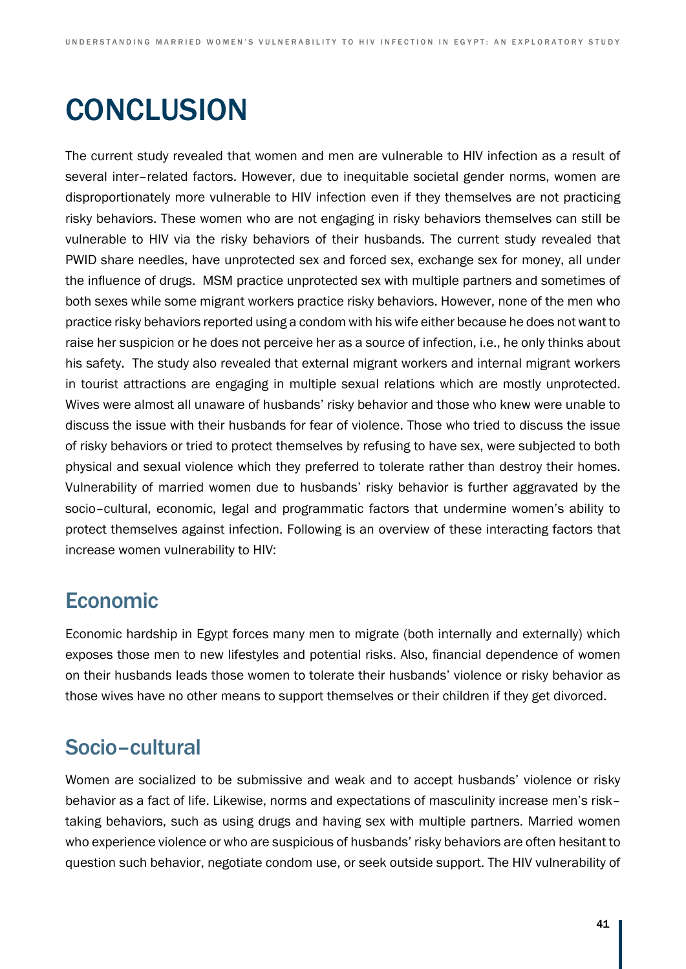# **CONCLUSION**

The current study revealed that women and men are vulnerable to HIV infection as a result of several inter–related factors. However, due to inequitable societal gender norms, women are disproportionately more vulnerable to HIV infection even if they themselves are not practicing risky behaviors. These women who are not engaging in risky behaviors themselves can still be vulnerable to HIV via the risky behaviors of their husbands. The current study revealed that PWID share needles, have unprotected sex and forced sex, exchange sex for money, all under the influence of drugs. MSM practice unprotected sex with multiple partners and sometimes of both sexes while some migrant workers practice risky behaviors. However, none of the men who practice risky behaviors reported using a condom with his wife either because he does not want to raise her suspicion or he does not perceive her as a source of infection, i.e., he only thinks about his safety. The study also revealed that external migrant workers and internal migrant workers in tourist attractions are engaging in multiple sexual relations which are mostly unprotected. Wives were almost all unaware of husbands' risky behavior and those who knew were unable to discuss the issue with their husbands for fear of violence. Those who tried to discuss the issue of risky behaviors or tried to protect themselves by refusing to have sex, were subjected to both physical and sexual violence which they preferred to tolerate rather than destroy their homes. Vulnerability of married women due to husbands' risky behavior is further aggravated by the socio–cultural, economic, legal and programmatic factors that undermine women's ability to protect themselves against infection. Following is an overview of these interacting factors that increase women vulnerability to HIV:

## Economic

Economic hardship in Egypt forces many men to migrate (both internally and externally) which exposes those men to new lifestyles and potential risks. Also, financial dependence of women on their husbands leads those women to tolerate their husbands' violence or risky behavior as those wives have no other means to support themselves or their children if they get divorced.

# Socio–cultural

Women are socialized to be submissive and weak and to accept husbands' violence or risky behavior as a fact of life. Likewise, norms and expectations of masculinity increase men's risk– taking behaviors, such as using drugs and having sex with multiple partners. Married women who experience violence or who are suspicious of husbands' risky behaviors are often hesitant to question such behavior, negotiate condom use, or seek outside support. The HIV vulnerability of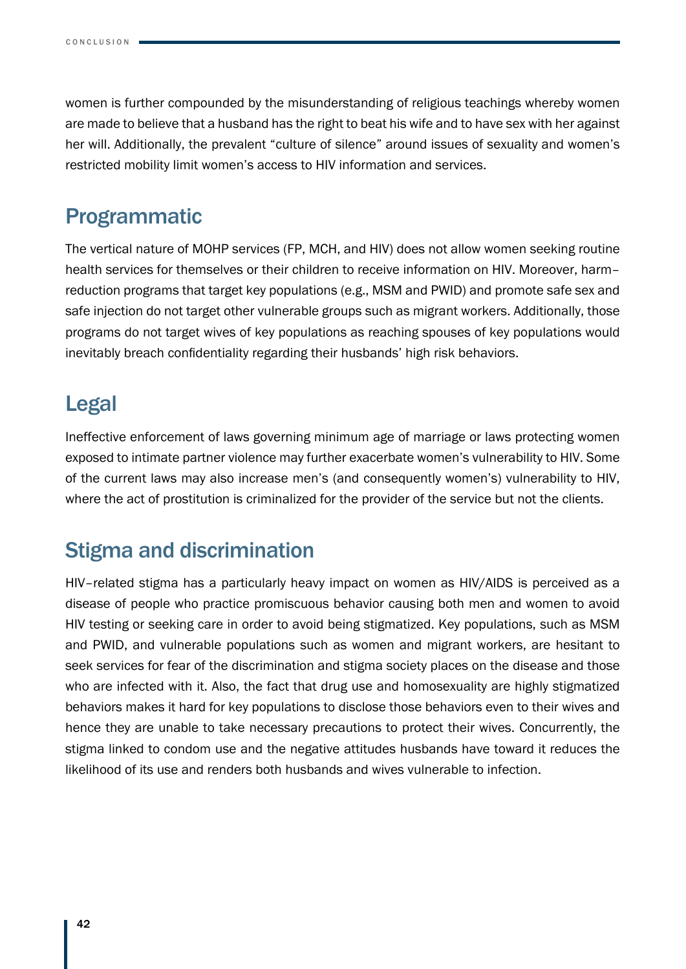women is further compounded by the misunderstanding of religious teachings whereby women are made to believe that a husband has the right to beat his wife and to have sex with her against her will. Additionally, the prevalent "culture of silence" around issues of sexuality and women's restricted mobility limit women's access to HIV information and services.

## Programmatic

The vertical nature of MOHP services (FP, MCH, and HIV) does not allow women seeking routine health services for themselves or their children to receive information on HIV. Moreover, harm– reduction programs that target key populations (e.g., MSM and PWID) and promote safe sex and safe injection do not target other vulnerable groups such as migrant workers. Additionally, those programs do not target wives of key populations as reaching spouses of key populations would inevitably breach confidentiality regarding their husbands' high risk behaviors.

## Legal

Ineffective enforcement of laws governing minimum age of marriage or laws protecting women exposed to intimate partner violence may further exacerbate women's vulnerability to HIV. Some of the current laws may also increase men's (and consequently women's) vulnerability to HIV, where the act of prostitution is criminalized for the provider of the service but not the clients.

# Stigma and discrimination

HIV–related stigma has a particularly heavy impact on women as HIV/AIDS is perceived as a disease of people who practice promiscuous behavior causing both men and women to avoid HIV testing or seeking care in order to avoid being stigmatized. Key populations, such as MSM and PWID, and vulnerable populations such as women and migrant workers, are hesitant to seek services for fear of the discrimination and stigma society places on the disease and those who are infected with it. Also, the fact that drug use and homosexuality are highly stigmatized behaviors makes it hard for key populations to disclose those behaviors even to their wives and hence they are unable to take necessary precautions to protect their wives. Concurrently, the stigma linked to condom use and the negative attitudes husbands have toward it reduces the likelihood of its use and renders both husbands and wives vulnerable to infection.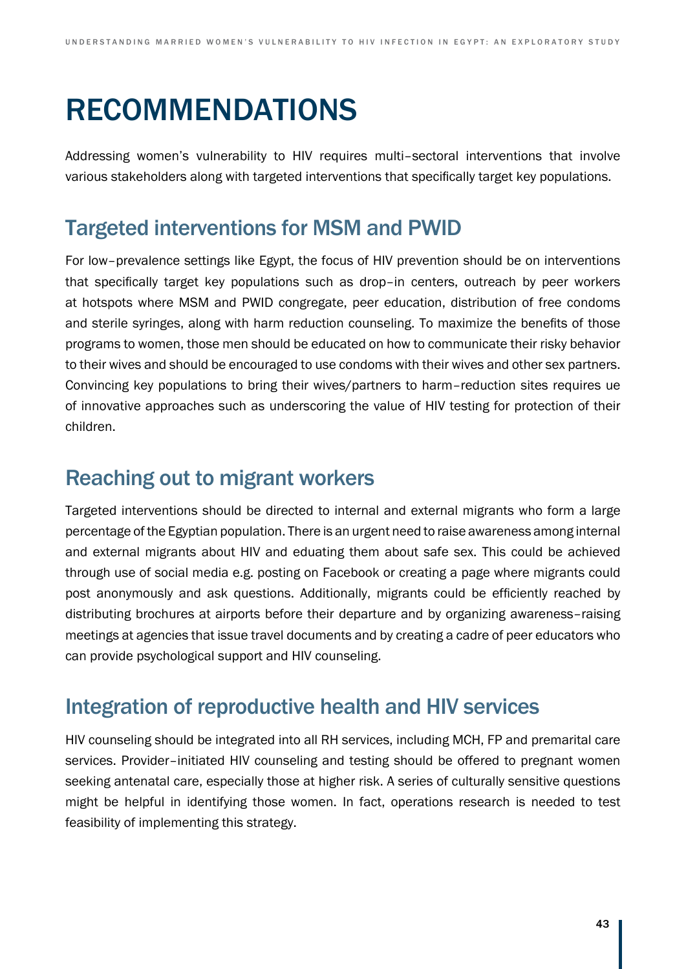# RECOMMENDATIONS

Addressing women's vulnerability to HIV requires multi–sectoral interventions that involve various stakeholders along with targeted interventions that specifically target key populations.

## Targeted interventions for MSM and PWID

For low–prevalence settings like Egypt, the focus of HIV prevention should be on interventions that specifically target key populations such as drop–in centers, outreach by peer workers at hotspots where MSM and PWID congregate, peer education, distribution of free condoms and sterile syringes, along with harm reduction counseling. To maximize the benefits of those programs to women, those men should be educated on how to communicate their risky behavior to their wives and should be encouraged to use condoms with their wives and other sex partners. Convincing key populations to bring their wives/partners to harm–reduction sites requires ue of innovative approaches such as underscoring the value of HIV testing for protection of their children.

## Reaching out to migrant workers

Targeted interventions should be directed to internal and external migrants who form a large percentage of the Egyptian population. There is an urgent need to raise awareness among internal and external migrants about HIV and eduating them about safe sex. This could be achieved through use of social media e.g. posting on Facebook or creating a page where migrants could post anonymously and ask questions. Additionally, migrants could be efficiently reached by distributing brochures at airports before their departure and by organizing awareness–raising meetings at agencies that issue travel documents and by creating a cadre of peer educators who can provide psychological support and HIV counseling.

## Integration of reproductive health and HIV services

HIV counseling should be integrated into all RH services, including MCH, FP and premarital care services. Provider–initiated HIV counseling and testing should be offered to pregnant women seeking antenatal care, especially those at higher risk. A series of culturally sensitive questions might be helpful in identifying those women. In fact, operations research is needed to test feasibility of implementing this strategy.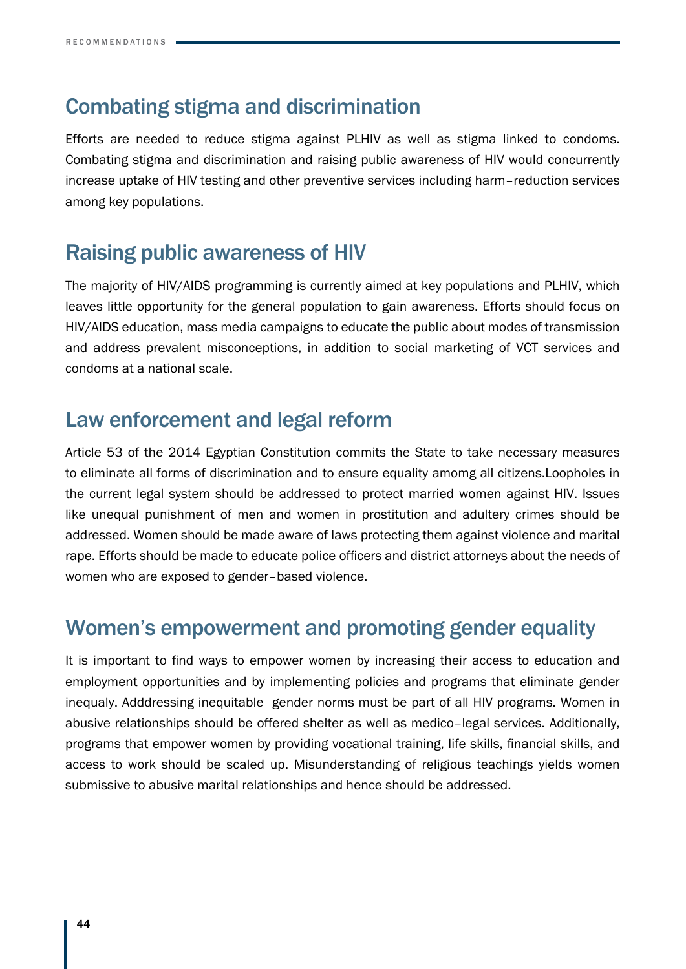## Combating stigma and discrimination

Efforts are needed to reduce stigma against PLHIV as well as stigma linked to condoms. Combating stigma and discrimination and raising public awareness of HIV would concurrently increase uptake of HIV testing and other preventive services including harm–reduction services among key populations.

## Raising public awareness of HIV

The majority of HIV/AIDS programming is currently aimed at key populations and PLHIV, which leaves little opportunity for the general population to gain awareness. Efforts should focus on HIV/AIDS education, mass media campaigns to educate the public about modes of transmission and address prevalent misconceptions, in addition to social marketing of VCT services and condoms at a national scale.

## Law enforcement and legal reform

Article 53 of the 2014 Egyptian Constitution commits the State to take necessary measures to eliminate all forms of discrimination and to ensure equality amomg all citizens.Loopholes in the current legal system should be addressed to protect married women against HIV. Issues like unequal punishment of men and women in prostitution and adultery crimes should be addressed. Women should be made aware of laws protecting them against violence and marital rape. Efforts should be made to educate police officers and district attorneys about the needs of women who are exposed to gender–based violence.

## Women's empowerment and promoting gender equality

It is important to find ways to empower women by increasing their access to education and employment opportunities and by implementing policies and programs that eliminate gender inequaly. Adddressing inequitable gender norms must be part of all HIV programs. Women in abusive relationships should be offered shelter as well as medico–legal services. Additionally, programs that empower women by providing vocational training, life skills, financial skills, and access to work should be scaled up. Misunderstanding of religious teachings yields women submissive to abusive marital relationships and hence should be addressed.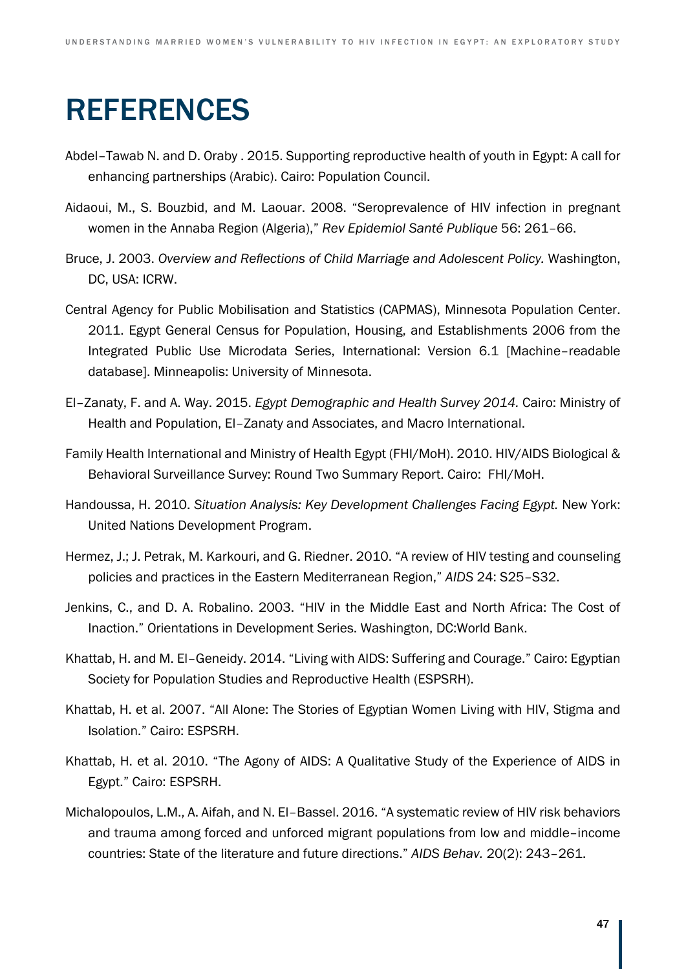# REFERENCES

- Abdel–Tawab N. and D. Oraby . 2015. Supporting reproductive health of youth in Egypt: A call for enhancing partnerships (Arabic). Cairo: Population Council.
- Aidaoui, M., S. Bouzbid, and M. Laouar. 2008. "Seroprevalence of HIV infection in pregnant women in the Annaba Region (Algeria)," *Rev Epidemiol Santé Publique* 56: 261–66.
- Bruce, J. 2003. *Overview and Reflections of Child Marriage and Adolescent Policy.* Washington, DC, USA: ICRW.
- Central Agency for Public Mobilisation and Statistics (CAPMAS), Minnesota Population Center. 2011. Egypt General Census for Population, Housing, and Establishments 2006 from the Integrated Public Use Microdata Series, International: Version 6.1 [Machine–readable database]. Minneapolis: University of Minnesota.
- El–Zanaty, F. and A. Way. 2015. *Egypt Demographic and Health Survey 2014.* Cairo: Ministry of Health and Population, El–Zanaty and Associates, and Macro International.
- Family Health International and Ministry of Health Egypt (FHI/MoH). 2010. HIV/AIDS Biological & Behavioral Surveillance Survey: Round Two Summary Report. Cairo: FHI/MoH.
- Handoussa, H. 2010. *Situation Analysis: Key Development Challenges Facing Egypt.* New York: United Nations Development Program.
- Hermez, J.; J. Petrak, M. Karkouri, and G. Riedner. 2010. "A review of HIV testing and counseling policies and practices in the Eastern Mediterranean Region," *AIDS* 24: S25–S32.
- Jenkins, C., and D. A. Robalino. 2003. "HIV in the Middle East and North Africa: The Cost of Inaction." Orientations in Development Series. Washington, DC:World Bank.
- Khattab, H. and M. El–Geneidy. 2014. "Living with AIDS: Suffering and Courage." Cairo: Egyptian Society for Population Studies and Reproductive Health (ESPSRH).
- Khattab, H. et al. 2007. "All Alone: The Stories of Egyptian Women Living with HIV, Stigma and Isolation." Cairo: ESPSRH.
- Khattab, H. et al. 2010. "The Agony of AIDS: A Qualitative Study of the Experience of AIDS in Egypt." Cairo: ESPSRH.
- Michalopoulos, L.M., A. Aifah, and N. El–Bassel. 2016. "A systematic review of HIV risk behaviors and trauma among forced and unforced migrant populations from low and middle–income countries: State of the literature and future directions." *AIDS Behav.* 20(2): 243–261.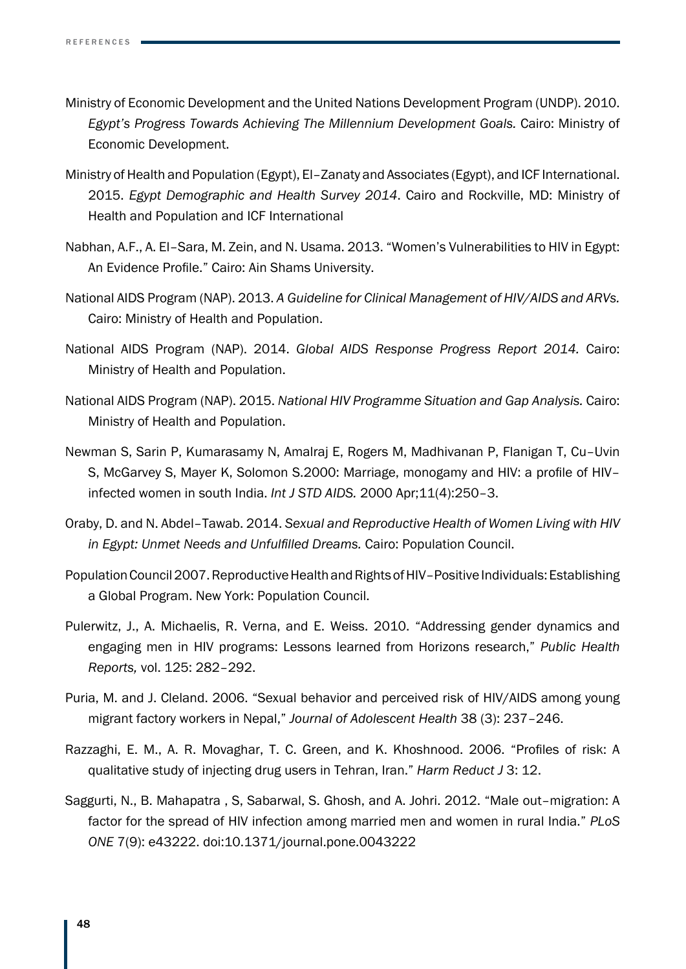- Ministry of Economic Development and the United Nations Development Program (UNDP). 2010. *Egypt's Progress Towards Achieving The Millennium Development Goals.* Cairo: Ministry of Economic Development.
- Ministry of Health and Population (Egypt), El–Zanaty and Associates (Egypt), and ICF International. 2015. *Egypt Demographic and Health Survey 2014*. Cairo and Rockville, MD: Ministry of Health and Population and ICF International
- Nabhan, A.F., A. El–Sara, M. Zein, and N. Usama. 2013. "Women's Vulnerabilities to HIV in Egypt: An Evidence Profile." Cairo: Ain Shams University.
- National AIDS Program (NAP). 2013. *A Guideline for Clinical Management of HIV/AIDS and ARVs.*  Cairo: Ministry of Health and Population.
- National AIDS Program (NAP). 2014. *Global AIDS Response Progress Report 2014.* Cairo: Ministry of Health and Population.
- National AIDS Program (NAP). 2015. *National HIV Programme Situation and Gap Analysis.* Cairo: Ministry of Health and Population.
- Newman S, Sarin P, Kumarasamy N, Amalraj E, Rogers M, Madhivanan P, Flanigan T, Cu–Uvin S, McGarvey S, Mayer K, Solomon S.2000: Marriage, monogamy and HIV: a profile of HIV– infected women in south India. *Int J STD AIDS.* 2000 Apr;11(4):250–3.
- Oraby, D. and N. Abdel–Tawab. 2014. *Sexual and Reproductive Health of Women Living with HIV in Egypt: Unmet Needs and Unfulfilled Dreams.* Cairo: Population Council.
- Population Council 2007. Reproductive Health and Rights of HIV–Positive Individuals: Establishing a Global Program. New York: Population Council.
- Pulerwitz, J., A. Michaelis, R. Verna, and E. Weiss. 2010. "Addressing gender dynamics and engaging men in HIV programs: Lessons learned from Horizons research," *Public Health Reports,* vol. 125: 282–292.
- Puria, M. and J. Cleland. 2006. "Sexual behavior and perceived risk of HIV/AIDS among young migrant factory workers in Nepal," *Journal of Adolescent Health* 38 (3): 237–246.
- Razzaghi, E. M., A. R. Movaghar, T. C. Green, and K. Khoshnood. 2006. "Profiles of risk: A qualitative study of injecting drug users in Tehran, Iran." *Harm Reduct J* 3: 12.
- Saggurti, N., B. Mahapatra , S, Sabarwal, S. Ghosh, and A. Johri. 2012. "Male out–migration: A factor for the spread of HIV infection among married men and women in rural India." *PLoS ONE* 7(9): e43222. doi:10.1371/journal.pone.0043222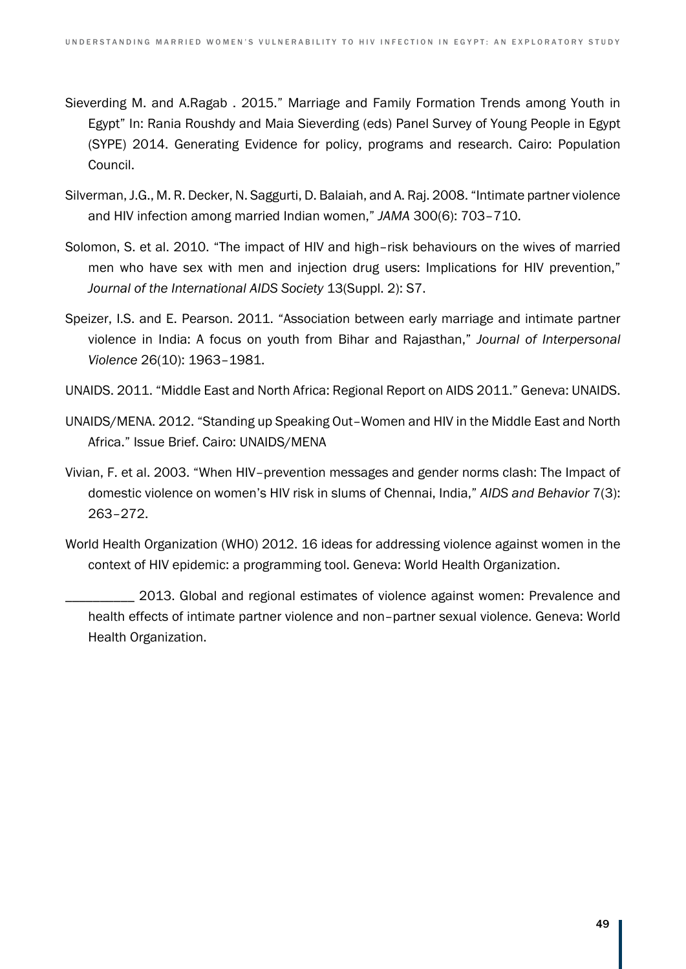- Sieverding M. and A.Ragab . 2015." Marriage and Family Formation Trends among Youth in Egypt" In: Rania Roushdy and Maia Sieverding (eds) Panel Survey of Young People in Egypt (SYPE) 2014. Generating Evidence for policy, programs and research. Cairo: Population Council.
- Silverman, J.G., M. R. Decker, N. Saggurti, D. Balaiah, and A. Raj. 2008. "Intimate partner violence and HIV infection among married Indian women," *JAMA* 300(6): 703–710.
- Solomon, S. et al. 2010. "The impact of HIV and high–risk behaviours on the wives of married men who have sex with men and injection drug users: Implications for HIV prevention," *Journal of the International AIDS Society* 13(Suppl. 2): S7.
- Speizer, I.S. and E. Pearson. 2011. "Association between early marriage and intimate partner violence in India: A focus on youth from Bihar and Rajasthan," *Journal of Interpersonal Violence* 26(10): 1963–1981.
- UNAIDS. 2011. "Middle East and North Africa: Regional Report on AIDS 2011." Geneva: UNAIDS.
- UNAIDS/MENA. 2012. "Standing up Speaking Out–Women and HIV in the Middle East and North Africa." Issue Brief. Cairo: UNAIDS/MENA
- Vivian, F. et al. 2003. "When HIV–prevention messages and gender norms clash: The Impact of domestic violence on women's HIV risk in slums of Chennai, India," *AIDS and Behavior* 7(3): 263–272.
- World Health Organization (WHO) 2012. 16 ideas for addressing violence against women in the context of HIV epidemic: a programming tool. Geneva: World Health Organization.

2013. Global and regional estimates of violence against women: Prevalence and health effects of intimate partner violence and non–partner sexual violence. Geneva: World Health Organization.